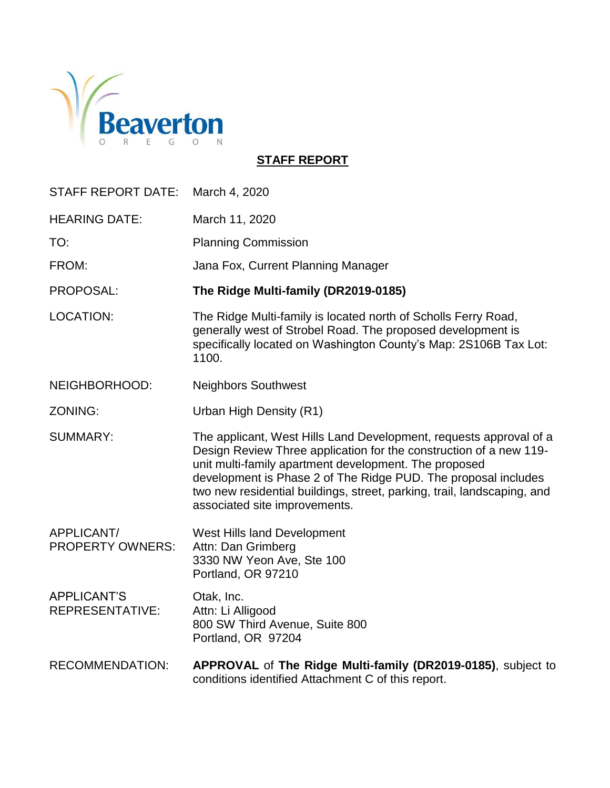

**STAFF REPORT**

| <b>STAFF REPORT DATE:</b>                    | March 4, 2020                                                                                                                                                                                                                                                                                                                                                                   |
|----------------------------------------------|---------------------------------------------------------------------------------------------------------------------------------------------------------------------------------------------------------------------------------------------------------------------------------------------------------------------------------------------------------------------------------|
| <b>HEARING DATE:</b>                         | March 11, 2020                                                                                                                                                                                                                                                                                                                                                                  |
| TO:                                          | <b>Planning Commission</b>                                                                                                                                                                                                                                                                                                                                                      |
| FROM:                                        | Jana Fox, Current Planning Manager                                                                                                                                                                                                                                                                                                                                              |
| PROPOSAL:                                    | The Ridge Multi-family (DR2019-0185)                                                                                                                                                                                                                                                                                                                                            |
| <b>LOCATION:</b>                             | The Ridge Multi-family is located north of Scholls Ferry Road,<br>generally west of Strobel Road. The proposed development is<br>specifically located on Washington County's Map: 2S106B Tax Lot:<br>1100.                                                                                                                                                                      |
| NEIGHBORHOOD:                                | <b>Neighbors Southwest</b>                                                                                                                                                                                                                                                                                                                                                      |
| <b>ZONING:</b>                               | Urban High Density (R1)                                                                                                                                                                                                                                                                                                                                                         |
| <b>SUMMARY:</b>                              | The applicant, West Hills Land Development, requests approval of a<br>Design Review Three application for the construction of a new 119-<br>unit multi-family apartment development. The proposed<br>development is Phase 2 of The Ridge PUD. The proposal includes<br>two new residential buildings, street, parking, trail, landscaping, and<br>associated site improvements. |
| APPLICANT/<br><b>PROPERTY OWNERS:</b>        | West Hills land Development<br>Attn: Dan Grimberg<br>3330 NW Yeon Ave, Ste 100<br>Portland, OR 97210                                                                                                                                                                                                                                                                            |
| <b>APPLICANT'S</b><br><b>REPRESENTATIVE:</b> | Otak, Inc.<br>Attn: Li Alligood<br>800 SW Third Avenue, Suite 800<br>Portland, OR 97204                                                                                                                                                                                                                                                                                         |
| <b>RECOMMENDATION:</b>                       | APPROVAL of The Ridge Multi-family (DR2019-0185), subject to<br>conditions identified Attachment C of this report.                                                                                                                                                                                                                                                              |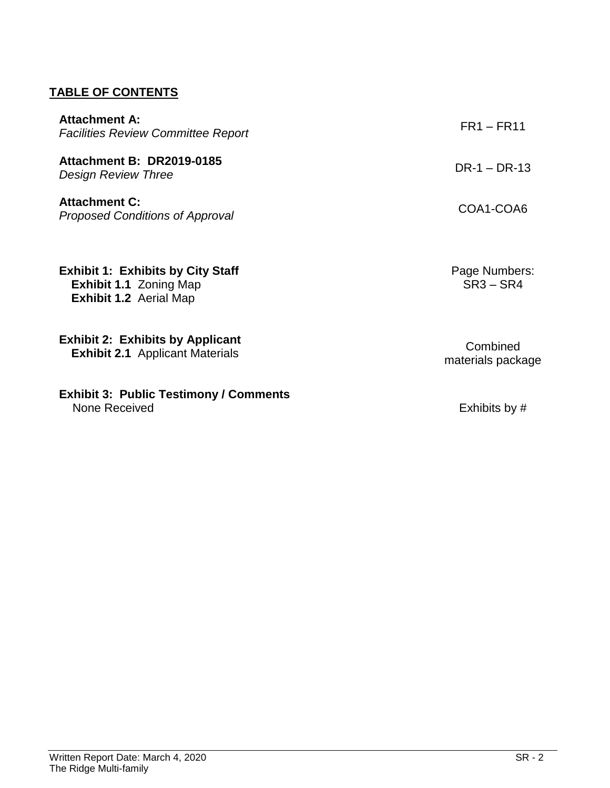# **TABLE OF CONTENTS**

| <b>Attachment A:</b><br><b>Facilities Review Committee Report</b>                                          | FR1 – FR11                    |
|------------------------------------------------------------------------------------------------------------|-------------------------------|
| <b>Attachment B: DR2019-0185</b><br>Design Review Three                                                    | $DR-1 - DR-13$                |
| <b>Attachment C:</b><br><b>Proposed Conditions of Approval</b>                                             | COA1-COA6                     |
| <b>Exhibit 1: Exhibits by City Staff</b><br><b>Exhibit 1.1 Zoning Map</b><br><b>Exhibit 1.2 Aerial Map</b> | Page Numbers:<br>$SR3 - SR4$  |
| <b>Exhibit 2: Exhibits by Applicant</b><br><b>Exhibit 2.1</b> Applicant Materials                          | Combined<br>materials package |

**Exhibit 3: Public Testimony / Comments** None Received **Exhibits** by #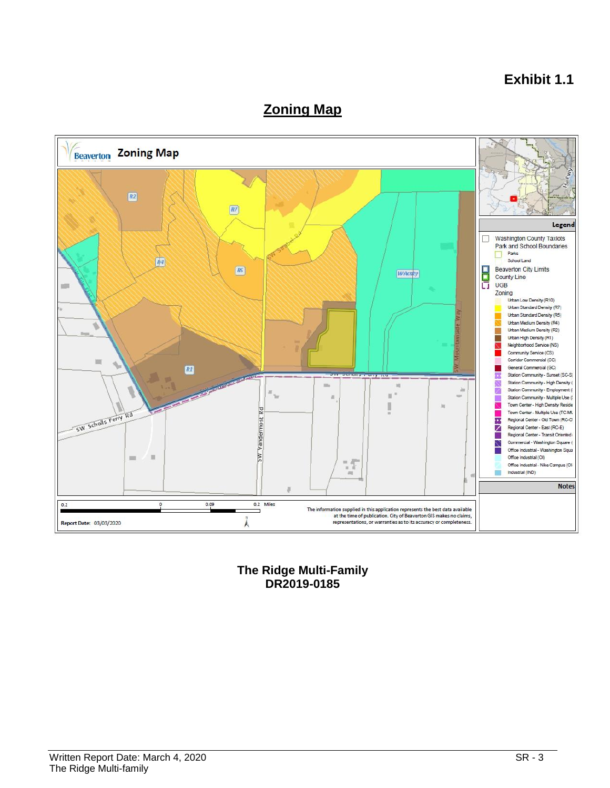# **Exhibit 1.1**

# **Zoning Map**



**The Ridge Multi-Family DR2019-0185**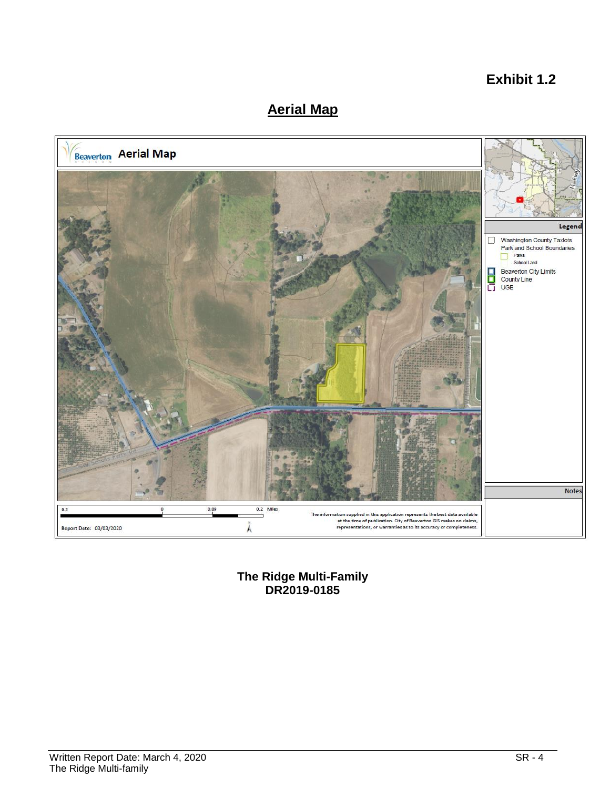# **Exhibit 1.2**

# **Aerial Map**



**The Ridge Multi-Family DR2019-0185**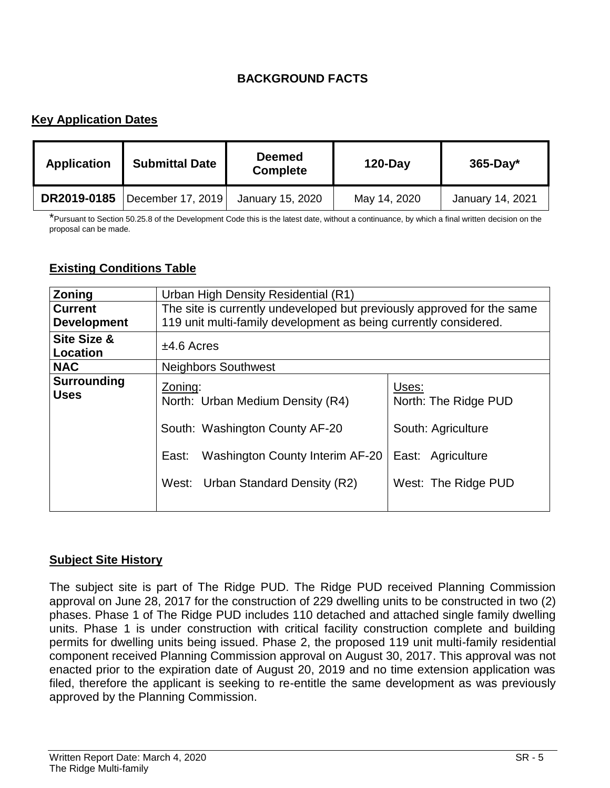## **BACKGROUND FACTS**

## **Key Application Dates**

| <b>Application</b> | <b>Submittal Date</b> | <b>Deemed</b><br><b>Complete</b> | $120$ -Day   | $365$ -Day*      |
|--------------------|-----------------------|----------------------------------|--------------|------------------|
| DR2019-0185        | December 17, 2019     | January 15, 2020                 | May 14, 2020 | January 14, 2021 |

\*Pursuant to Section 50.25.8 of the Development Code this is the latest date, without a continuance, by which a final written decision on the proposal can be made.

#### **Existing Conditions Table**

| <b>Zoning</b>                      | Urban High Density Residential (R1)                                                                                                                            |                                                                                                 |  |
|------------------------------------|----------------------------------------------------------------------------------------------------------------------------------------------------------------|-------------------------------------------------------------------------------------------------|--|
| <b>Current</b>                     | The site is currently undeveloped but previously approved for the same                                                                                         |                                                                                                 |  |
| <b>Development</b>                 | 119 unit multi-family development as being currently considered.                                                                                               |                                                                                                 |  |
| <b>Site Size &amp;</b><br>Location | $±4.6$ Acres                                                                                                                                                   |                                                                                                 |  |
| <b>NAC</b>                         | <b>Neighbors Southwest</b>                                                                                                                                     |                                                                                                 |  |
| <b>Surrounding</b><br><b>Uses</b>  | Zoning:<br>North: Urban Medium Density (R4)<br>South: Washington County AF-20<br>Washington County Interim AF-20<br>East:<br>West: Urban Standard Density (R2) | Uses:<br>North: The Ridge PUD<br>South: Agriculture<br>East: Agriculture<br>West: The Ridge PUD |  |

#### **Subject Site History**

The subject site is part of The Ridge PUD. The Ridge PUD received Planning Commission approval on June 28, 2017 for the construction of 229 dwelling units to be constructed in two (2) phases. Phase 1 of The Ridge PUD includes 110 detached and attached single family dwelling units. Phase 1 is under construction with critical facility construction complete and building permits for dwelling units being issued. Phase 2, the proposed 119 unit multi-family residential component received Planning Commission approval on August 30, 2017. This approval was not enacted prior to the expiration date of August 20, 2019 and no time extension application was filed, therefore the applicant is seeking to re-entitle the same development as was previously approved by the Planning Commission.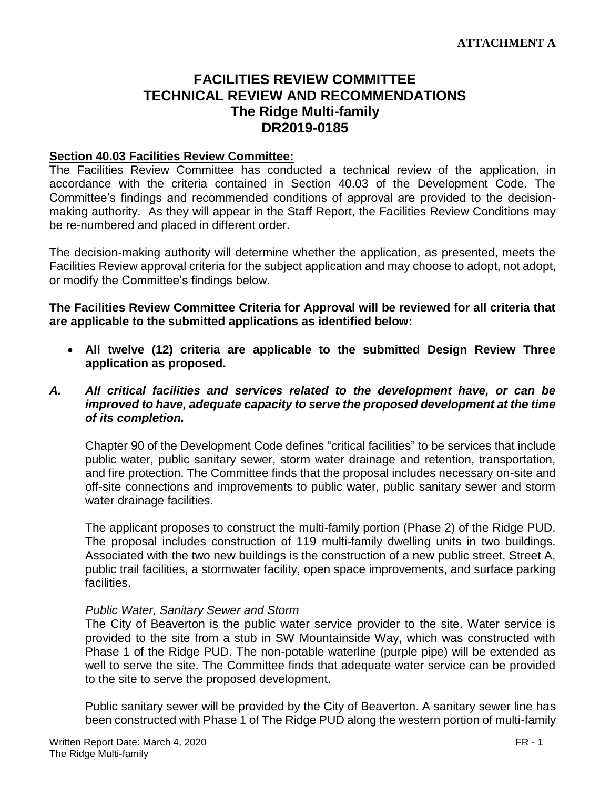## **FACILITIES REVIEW COMMITTEE TECHNICAL REVIEW AND RECOMMENDATIONS The Ridge Multi-family DR2019-0185**

#### **Section 40.03 Facilities Review Committee:**

The Facilities Review Committee has conducted a technical review of the application, in accordance with the criteria contained in Section 40.03 of the Development Code. The Committee's findings and recommended conditions of approval are provided to the decisionmaking authority. As they will appear in the Staff Report, the Facilities Review Conditions may be re-numbered and placed in different order.

The decision-making authority will determine whether the application, as presented, meets the Facilities Review approval criteria for the subject application and may choose to adopt, not adopt, or modify the Committee's findings below.

**The Facilities Review Committee Criteria for Approval will be reviewed for all criteria that are applicable to the submitted applications as identified below:**

 **All twelve (12) criteria are applicable to the submitted Design Review Three application as proposed.**

#### *A. All critical facilities and services related to the development have, or can be improved to have, adequate capacity to serve the proposed development at the time of its completion.*

Chapter 90 of the Development Code defines "critical facilities" to be services that include public water, public sanitary sewer, storm water drainage and retention, transportation, and fire protection. The Committee finds that the proposal includes necessary on-site and off-site connections and improvements to public water, public sanitary sewer and storm water drainage facilities.

The applicant proposes to construct the multi-family portion (Phase 2) of the Ridge PUD. The proposal includes construction of 119 multi-family dwelling units in two buildings. Associated with the two new buildings is the construction of a new public street, Street A, public trail facilities, a stormwater facility, open space improvements, and surface parking facilities.

#### *Public Water, Sanitary Sewer and Storm*

The City of Beaverton is the public water service provider to the site. Water service is provided to the site from a stub in SW Mountainside Way, which was constructed with Phase 1 of the Ridge PUD. The non-potable waterline (purple pipe) will be extended as well to serve the site. The Committee finds that adequate water service can be provided to the site to serve the proposed development.

Public sanitary sewer will be provided by the City of Beaverton. A sanitary sewer line has been constructed with Phase 1 of The Ridge PUD along the western portion of multi-family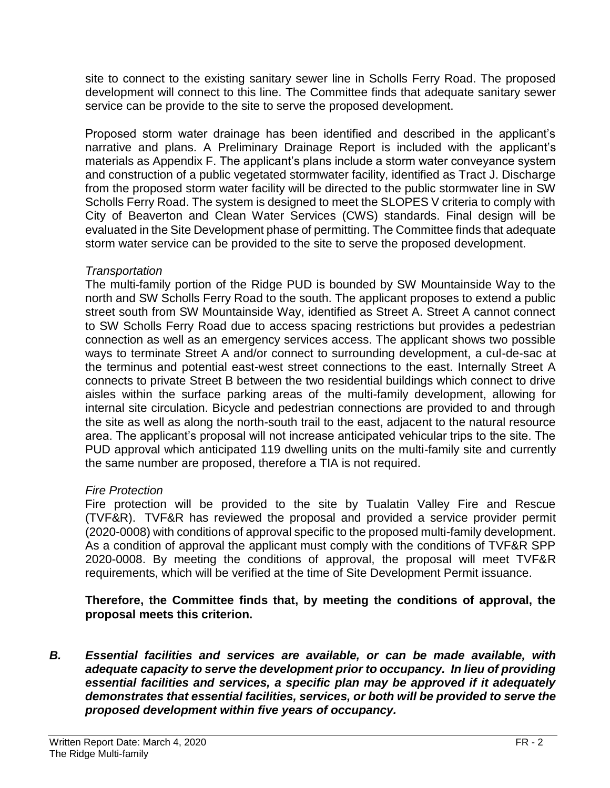site to connect to the existing sanitary sewer line in Scholls Ferry Road. The proposed development will connect to this line. The Committee finds that adequate sanitary sewer service can be provide to the site to serve the proposed development.

Proposed storm water drainage has been identified and described in the applicant's narrative and plans. A Preliminary Drainage Report is included with the applicant's materials as Appendix F. The applicant's plans include a storm water conveyance system and construction of a public vegetated stormwater facility, identified as Tract J. Discharge from the proposed storm water facility will be directed to the public stormwater line in SW Scholls Ferry Road. The system is designed to meet the SLOPES V criteria to comply with City of Beaverton and Clean Water Services (CWS) standards. Final design will be evaluated in the Site Development phase of permitting. The Committee finds that adequate storm water service can be provided to the site to serve the proposed development.

#### *Transportation*

The multi-family portion of the Ridge PUD is bounded by SW Mountainside Way to the north and SW Scholls Ferry Road to the south. The applicant proposes to extend a public street south from SW Mountainside Way, identified as Street A. Street A cannot connect to SW Scholls Ferry Road due to access spacing restrictions but provides a pedestrian connection as well as an emergency services access. The applicant shows two possible ways to terminate Street A and/or connect to surrounding development, a cul-de-sac at the terminus and potential east-west street connections to the east. Internally Street A connects to private Street B between the two residential buildings which connect to drive aisles within the surface parking areas of the multi-family development, allowing for internal site circulation. Bicycle and pedestrian connections are provided to and through the site as well as along the north-south trail to the east, adjacent to the natural resource area. The applicant's proposal will not increase anticipated vehicular trips to the site. The PUD approval which anticipated 119 dwelling units on the multi-family site and currently the same number are proposed, therefore a TIA is not required.

## *Fire Protection*

Fire protection will be provided to the site by Tualatin Valley Fire and Rescue (TVF&R). TVF&R has reviewed the proposal and provided a service provider permit (2020-0008) with conditions of approval specific to the proposed multi-family development. As a condition of approval the applicant must comply with the conditions of TVF&R SPP 2020-0008. By meeting the conditions of approval, the proposal will meet TVF&R requirements, which will be verified at the time of Site Development Permit issuance.

## **Therefore, the Committee finds that, by meeting the conditions of approval, the proposal meets this criterion.**

*B. Essential facilities and services are available, or can be made available, with adequate capacity to serve the development prior to occupancy. In lieu of providing essential facilities and services, a specific plan may be approved if it adequately demonstrates that essential facilities, services, or both will be provided to serve the proposed development within five years of occupancy.*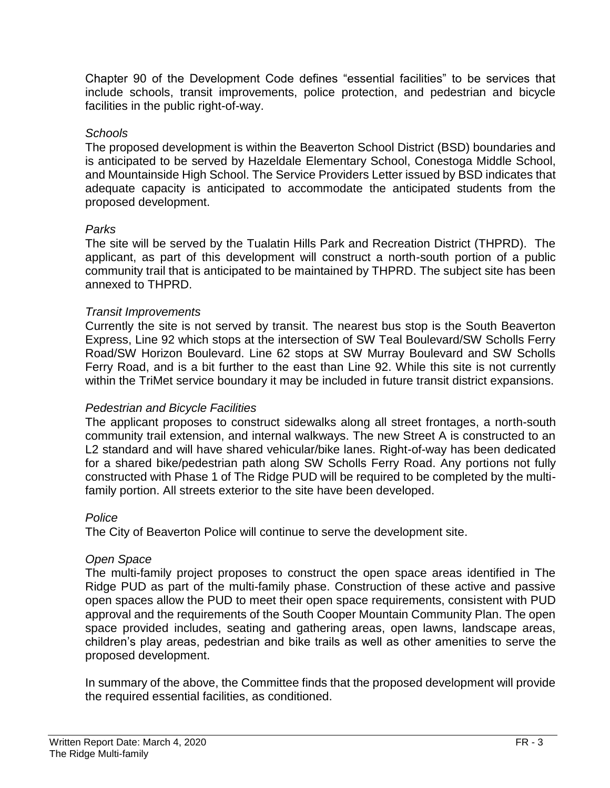Chapter 90 of the Development Code defines "essential facilities" to be services that include schools, transit improvements, police protection, and pedestrian and bicycle facilities in the public right-of-way.

#### *Schools*

The proposed development is within the Beaverton School District (BSD) boundaries and is anticipated to be served by Hazeldale Elementary School, Conestoga Middle School, and Mountainside High School. The Service Providers Letter issued by BSD indicates that adequate capacity is anticipated to accommodate the anticipated students from the proposed development.

#### *Parks*

The site will be served by the Tualatin Hills Park and Recreation District (THPRD). The applicant, as part of this development will construct a north-south portion of a public community trail that is anticipated to be maintained by THPRD. The subject site has been annexed to THPRD.

#### *Transit Improvements*

Currently the site is not served by transit. The nearest bus stop is the South Beaverton Express, Line 92 which stops at the intersection of SW Teal Boulevard/SW Scholls Ferry Road/SW Horizon Boulevard. Line 62 stops at SW Murray Boulevard and SW Scholls Ferry Road, and is a bit further to the east than Line 92. While this site is not currently within the TriMet service boundary it may be included in future transit district expansions.

#### *Pedestrian and Bicycle Facilities*

The applicant proposes to construct sidewalks along all street frontages, a north-south community trail extension, and internal walkways. The new Street A is constructed to an L2 standard and will have shared vehicular/bike lanes. Right-of-way has been dedicated for a shared bike/pedestrian path along SW Scholls Ferry Road. Any portions not fully constructed with Phase 1 of The Ridge PUD will be required to be completed by the multifamily portion. All streets exterior to the site have been developed.

#### *Police*

The City of Beaverton Police will continue to serve the development site.

#### *Open Space*

The multi-family project proposes to construct the open space areas identified in The Ridge PUD as part of the multi-family phase. Construction of these active and passive open spaces allow the PUD to meet their open space requirements, consistent with PUD approval and the requirements of the South Cooper Mountain Community Plan. The open space provided includes, seating and gathering areas, open lawns, landscape areas, children's play areas, pedestrian and bike trails as well as other amenities to serve the proposed development.

In summary of the above, the Committee finds that the proposed development will provide the required essential facilities, as conditioned.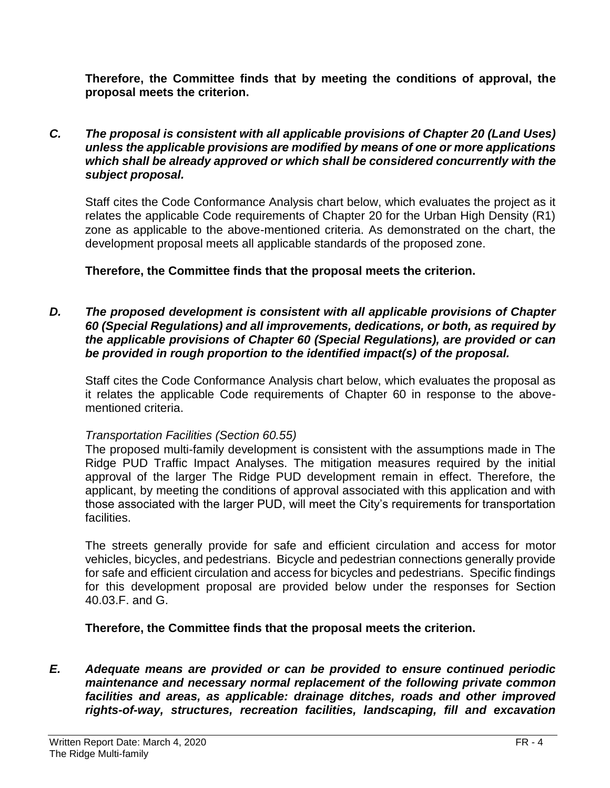**Therefore, the Committee finds that by meeting the conditions of approval, the proposal meets the criterion.** 

#### *C. The proposal is consistent with all applicable provisions of Chapter 20 (Land Uses) unless the applicable provisions are modified by means of one or more applications which shall be already approved or which shall be considered concurrently with the subject proposal.*

Staff cites the Code Conformance Analysis chart below, which evaluates the project as it relates the applicable Code requirements of Chapter 20 for the Urban High Density (R1) zone as applicable to the above-mentioned criteria. As demonstrated on the chart, the development proposal meets all applicable standards of the proposed zone.

#### **Therefore, the Committee finds that the proposal meets the criterion.**

#### *D. The proposed development is consistent with all applicable provisions of Chapter 60 (Special Regulations) and all improvements, dedications, or both, as required by the applicable provisions of Chapter 60 (Special Regulations), are provided or can be provided in rough proportion to the identified impact(s) of the proposal.*

Staff cites the Code Conformance Analysis chart below, which evaluates the proposal as it relates the applicable Code requirements of Chapter 60 in response to the abovementioned criteria.

#### *Transportation Facilities (Section 60.55)*

The proposed multi-family development is consistent with the assumptions made in The Ridge PUD Traffic Impact Analyses. The mitigation measures required by the initial approval of the larger The Ridge PUD development remain in effect. Therefore, the applicant, by meeting the conditions of approval associated with this application and with those associated with the larger PUD, will meet the City's requirements for transportation facilities.

The streets generally provide for safe and efficient circulation and access for motor vehicles, bicycles, and pedestrians. Bicycle and pedestrian connections generally provide for safe and efficient circulation and access for bicycles and pedestrians. Specific findings for this development proposal are provided below under the responses for Section 40.03.F. and G.

## **Therefore, the Committee finds that the proposal meets the criterion.**

*E. Adequate means are provided or can be provided to ensure continued periodic maintenance and necessary normal replacement of the following private common facilities and areas, as applicable: drainage ditches, roads and other improved rights-of-way, structures, recreation facilities, landscaping, fill and excavation*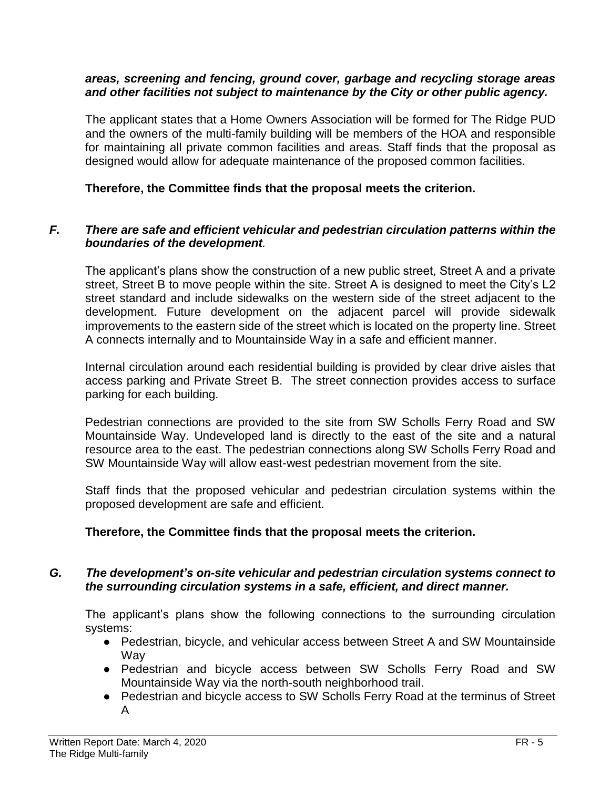#### *areas, screening and fencing, ground cover, garbage and recycling storage areas and other facilities not subject to maintenance by the City or other public agency.*

The applicant states that a Home Owners Association will be formed for The Ridge PUD and the owners of the multi-family building will be members of the HOA and responsible for maintaining all private common facilities and areas. Staff finds that the proposal as designed would allow for adequate maintenance of the proposed common facilities.

#### **Therefore, the Committee finds that the proposal meets the criterion.**

#### *F. There are safe and efficient vehicular and pedestrian circulation patterns within the boundaries of the development.*

The applicant's plans show the construction of a new public street, Street A and a private street, Street B to move people within the site. Street A is designed to meet the City's L2 street standard and include sidewalks on the western side of the street adjacent to the development. Future development on the adjacent parcel will provide sidewalk improvements to the eastern side of the street which is located on the property line. Street A connects internally and to Mountainside Way in a safe and efficient manner.

Internal circulation around each residential building is provided by clear drive aisles that access parking and Private Street B. The street connection provides access to surface parking for each building.

Pedestrian connections are provided to the site from SW Scholls Ferry Road and SW Mountainside Way. Undeveloped land is directly to the east of the site and a natural resource area to the east. The pedestrian connections along SW Scholls Ferry Road and SW Mountainside Way will allow east-west pedestrian movement from the site.

Staff finds that the proposed vehicular and pedestrian circulation systems within the proposed development are safe and efficient.

#### **Therefore, the Committee finds that the proposal meets the criterion.**

#### *G. The development's on-site vehicular and pedestrian circulation systems connect to the surrounding circulation systems in a safe, efficient, and direct manner.*

The applicant's plans show the following connections to the surrounding circulation systems:

- Pedestrian, bicycle, and vehicular access between Street A and SW Mountainside **Wav**
- Pedestrian and bicycle access between SW Scholls Ferry Road and SW Mountainside Way via the north-south neighborhood trail.
- Pedestrian and bicycle access to SW Scholls Ferry Road at the terminus of Street A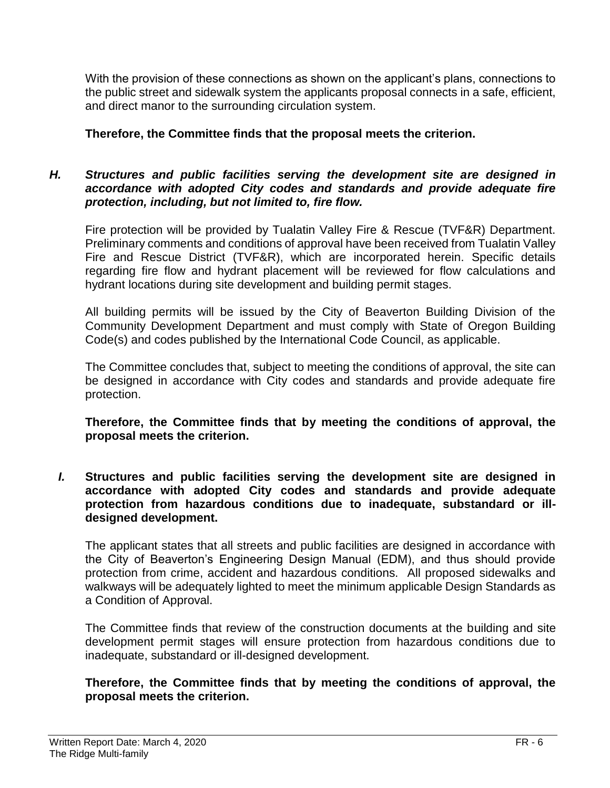With the provision of these connections as shown on the applicant's plans, connections to the public street and sidewalk system the applicants proposal connects in a safe, efficient, and direct manor to the surrounding circulation system.

### **Therefore, the Committee finds that the proposal meets the criterion.**

#### *H. Structures and public facilities serving the development site are designed in accordance with adopted City codes and standards and provide adequate fire protection, including, but not limited to, fire flow.*

Fire protection will be provided by Tualatin Valley Fire & Rescue (TVF&R) Department. Preliminary comments and conditions of approval have been received from Tualatin Valley Fire and Rescue District (TVF&R), which are incorporated herein. Specific details regarding fire flow and hydrant placement will be reviewed for flow calculations and hydrant locations during site development and building permit stages.

All building permits will be issued by the City of Beaverton Building Division of the Community Development Department and must comply with State of Oregon Building Code(s) and codes published by the International Code Council, as applicable.

The Committee concludes that, subject to meeting the conditions of approval, the site can be designed in accordance with City codes and standards and provide adequate fire protection.

**Therefore, the Committee finds that by meeting the conditions of approval, the proposal meets the criterion.** 

*I.* **Structures and public facilities serving the development site are designed in accordance with adopted City codes and standards and provide adequate protection from hazardous conditions due to inadequate, substandard or illdesigned development.**

The applicant states that all streets and public facilities are designed in accordance with the City of Beaverton's Engineering Design Manual (EDM), and thus should provide protection from crime, accident and hazardous conditions. All proposed sidewalks and walkways will be adequately lighted to meet the minimum applicable Design Standards as a Condition of Approval.

The Committee finds that review of the construction documents at the building and site development permit stages will ensure protection from hazardous conditions due to inadequate, substandard or ill-designed development.

#### **Therefore, the Committee finds that by meeting the conditions of approval, the proposal meets the criterion.**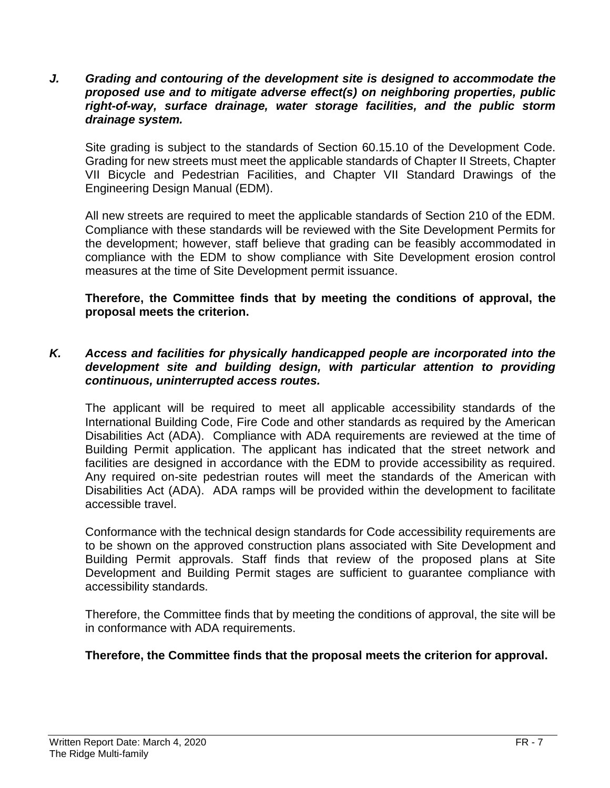*J. Grading and contouring of the development site is designed to accommodate the proposed use and to mitigate adverse effect(s) on neighboring properties, public right-of-way, surface drainage, water storage facilities, and the public storm drainage system.*

Site grading is subject to the standards of Section 60.15.10 of the Development Code. Grading for new streets must meet the applicable standards of Chapter II Streets, Chapter VII Bicycle and Pedestrian Facilities, and Chapter VII Standard Drawings of the Engineering Design Manual (EDM).

All new streets are required to meet the applicable standards of Section 210 of the EDM. Compliance with these standards will be reviewed with the Site Development Permits for the development; however, staff believe that grading can be feasibly accommodated in compliance with the EDM to show compliance with Site Development erosion control measures at the time of Site Development permit issuance.

**Therefore, the Committee finds that by meeting the conditions of approval, the proposal meets the criterion.** 

#### *K. Access and facilities for physically handicapped people are incorporated into the development site and building design, with particular attention to providing continuous, uninterrupted access routes.*

The applicant will be required to meet all applicable accessibility standards of the International Building Code, Fire Code and other standards as required by the American Disabilities Act (ADA). Compliance with ADA requirements are reviewed at the time of Building Permit application. The applicant has indicated that the street network and facilities are designed in accordance with the EDM to provide accessibility as required. Any required on-site pedestrian routes will meet the standards of the American with Disabilities Act (ADA). ADA ramps will be provided within the development to facilitate accessible travel.

Conformance with the technical design standards for Code accessibility requirements are to be shown on the approved construction plans associated with Site Development and Building Permit approvals. Staff finds that review of the proposed plans at Site Development and Building Permit stages are sufficient to guarantee compliance with accessibility standards.

Therefore, the Committee finds that by meeting the conditions of approval, the site will be in conformance with ADA requirements.

#### **Therefore, the Committee finds that the proposal meets the criterion for approval.**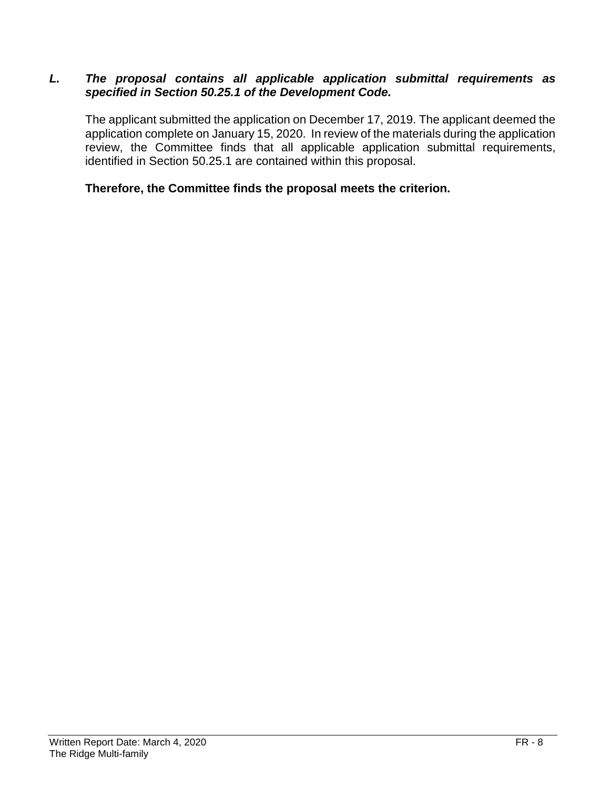#### *L. The proposal contains all applicable application submittal requirements as specified in Section 50.25.1 of the Development Code.*

The applicant submitted the application on December 17, 2019. The applicant deemed the application complete on January 15, 2020. In review of the materials during the application review, the Committee finds that all applicable application submittal requirements, identified in Section 50.25.1 are contained within this proposal.

#### **Therefore, the Committee finds the proposal meets the criterion.**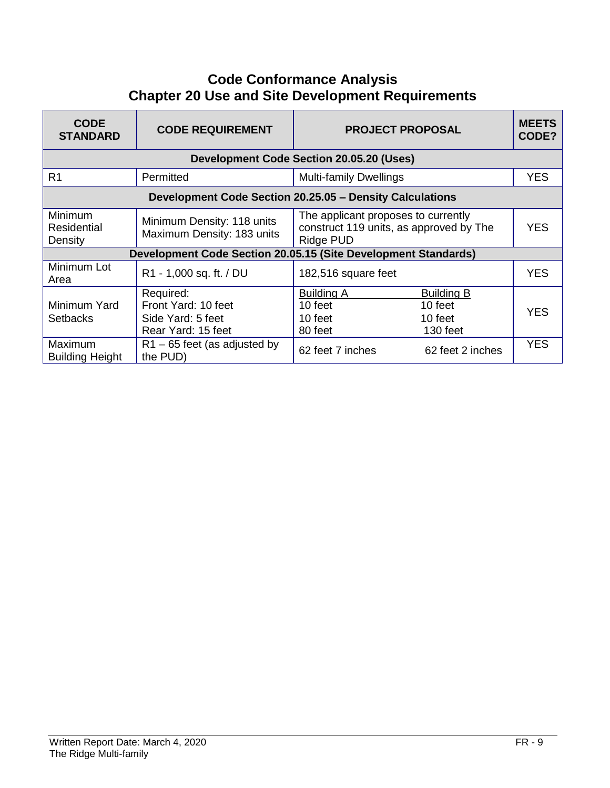# **Code Conformance Analysis Chapter 20 Use and Site Development Requirements**

| <b>CODE</b><br><b>STANDARD</b>    | <b>CODE REQUIREMENT</b>                                                     | <b>PROJECT PROPOSAL</b>                                                                     |                                                     | <b>MEETS</b><br>CODE? |
|-----------------------------------|-----------------------------------------------------------------------------|---------------------------------------------------------------------------------------------|-----------------------------------------------------|-----------------------|
|                                   |                                                                             | <b>Development Code Section 20.05.20 (Uses)</b>                                             |                                                     |                       |
| R <sub>1</sub>                    | Permitted                                                                   | <b>Multi-family Dwellings</b>                                                               |                                                     | <b>YES</b>            |
|                                   | Development Code Section 20.25.05 - Density Calculations                    |                                                                                             |                                                     |                       |
| Minimum<br>Residential<br>Density | Minimum Density: 118 units<br>Maximum Density: 183 units                    | The applicant proposes to currently<br>construct 119 units, as approved by The<br>Ridge PUD |                                                     | <b>YES</b>            |
|                                   | Development Code Section 20.05.15 (Site Development Standards)              |                                                                                             |                                                     |                       |
| Minimum Lot<br>Area               | R1 - 1,000 sq. ft. / DU                                                     | 182,516 square feet                                                                         |                                                     | <b>YES</b>            |
| Minimum Yard<br><b>Setbacks</b>   | Required:<br>Front Yard: 10 feet<br>Side Yard: 5 feet<br>Rear Yard: 15 feet | <b>Building A</b><br>10 feet<br>10 feet<br>80 feet                                          | <b>Building B</b><br>10 feet<br>10 feet<br>130 feet | <b>YES</b>            |
| Maximum<br><b>Building Height</b> | $R1 - 65$ feet (as adjusted by<br>the PUD)                                  | 62 feet 7 inches                                                                            | 62 feet 2 inches                                    | <b>YES</b>            |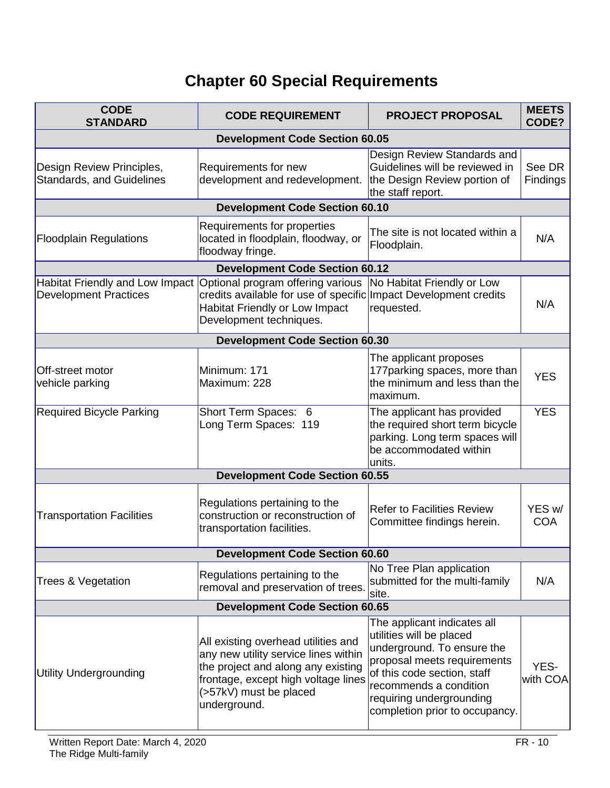# **Chapter 60 Special Requirements**

| <b>CODE</b><br><b>STANDARD</b>                                  | <b>CODE REQUIREMENT</b>                                                                                                                                                                            | <b>PROJECT PROPOSAL</b>                                                                                                                                                                                                                     | <b>MEETS</b><br>CODE? |  |
|-----------------------------------------------------------------|----------------------------------------------------------------------------------------------------------------------------------------------------------------------------------------------------|---------------------------------------------------------------------------------------------------------------------------------------------------------------------------------------------------------------------------------------------|-----------------------|--|
| <b>Development Code Section 60.05</b>                           |                                                                                                                                                                                                    |                                                                                                                                                                                                                                             |                       |  |
| Design Review Principles,<br><b>Standards, and Guidelines</b>   | Requirements for new<br>development and redevelopment.                                                                                                                                             | Design Review Standards and<br>Guidelines will be reviewed in<br>the Design Review portion of<br>the staff report.                                                                                                                          | See DR<br>Findings    |  |
|                                                                 | <b>Development Code Section 60.10</b>                                                                                                                                                              |                                                                                                                                                                                                                                             |                       |  |
| <b>Floodplain Regulations</b>                                   | Requirements for properties<br>located in floodplain, floodway, or<br>floodway fringe.                                                                                                             | The site is not located within a<br>Floodplain.                                                                                                                                                                                             | N/A                   |  |
|                                                                 | <b>Development Code Section 60.12</b>                                                                                                                                                              |                                                                                                                                                                                                                                             |                       |  |
| Habitat Friendly and Low Impact<br><b>Development Practices</b> | Optional program offering various<br>credits available for use of specific Impact Development credits<br>Habitat Friendly or Low Impact<br>Development techniques.                                 | No Habitat Friendly or Low<br>requested.                                                                                                                                                                                                    | N/A                   |  |
|                                                                 | <b>Development Code Section 60.30</b>                                                                                                                                                              |                                                                                                                                                                                                                                             |                       |  |
| Off-street motor<br>vehicle parking                             | Minimum: 171<br>Maximum: 228                                                                                                                                                                       | The applicant proposes<br>177 parking spaces, more than<br>the minimum and less than the<br>maximum.                                                                                                                                        | <b>YES</b>            |  |
| <b>Required Bicycle Parking</b>                                 | Short Term Spaces: 6<br>Long Term Spaces: 119                                                                                                                                                      | The applicant has provided<br>the required short term bicycle<br>parking. Long term spaces will<br>be accommodated within<br>units.                                                                                                         | <b>YES</b>            |  |
|                                                                 | <b>Development Code Section 60.55</b>                                                                                                                                                              |                                                                                                                                                                                                                                             |                       |  |
| <b>Transportation Facilities</b>                                | Regulations pertaining to the<br>construction or reconstruction of<br>transportation facilities.                                                                                                   | <b>Refer to Facilities Review</b><br>Committee findings herein.                                                                                                                                                                             | YES w/<br><b>COA</b>  |  |
|                                                                 | <b>Development Code Section 60.60</b>                                                                                                                                                              |                                                                                                                                                                                                                                             |                       |  |
| <b>Trees &amp; Vegetation</b>                                   | Regulations pertaining to the<br>removal and preservation of trees.                                                                                                                                | No Tree Plan application<br>submitted for the multi-family<br>site.                                                                                                                                                                         | N/A                   |  |
|                                                                 | <b>Development Code Section 60.65</b>                                                                                                                                                              |                                                                                                                                                                                                                                             |                       |  |
| Utility Undergrounding                                          | All existing overhead utilities and<br>any new utility service lines within<br>the project and along any existing<br>frontage, except high voltage lines<br>(>57kV) must be placed<br>underground. | The applicant indicates all<br>utilities will be placed<br>underground. To ensure the<br>proposal meets requirements<br>of this code section, staff<br>recommends a condition<br>requiring undergrounding<br>completion prior to occupancy. | YES-<br>with COA      |  |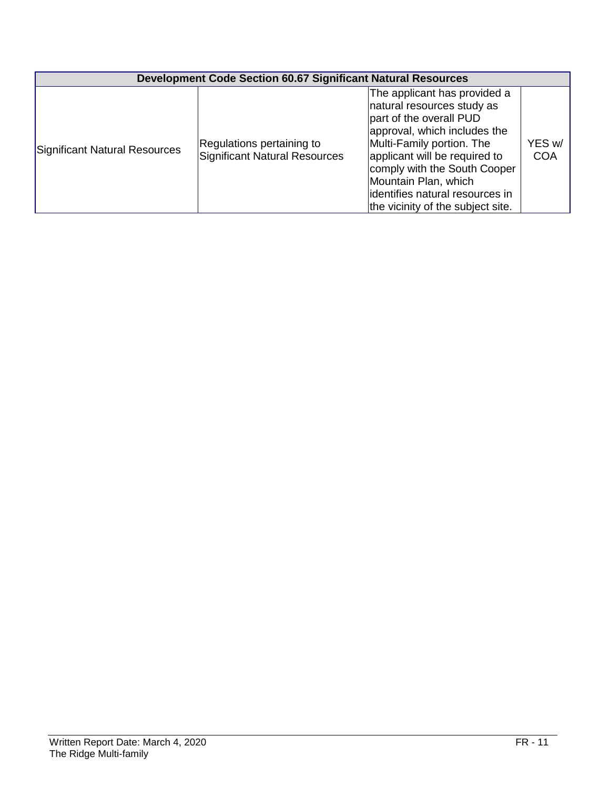|                               | <b>Development Code Section 60.67 Significant Natural Resources</b> |                                                                                                                                                                                                                                                                                                                     |                      |  |  |
|-------------------------------|---------------------------------------------------------------------|---------------------------------------------------------------------------------------------------------------------------------------------------------------------------------------------------------------------------------------------------------------------------------------------------------------------|----------------------|--|--|
| Significant Natural Resources | Regulations pertaining to<br>Significant Natural Resources          | The applicant has provided a<br>natural resources study as<br>part of the overall PUD<br>approval, which includes the<br>Multi-Family portion. The<br>applicant will be required to<br>comply with the South Cooper<br>Mountain Plan, which<br>identifies natural resources in<br>the vicinity of the subject site. | YES w/<br><b>COA</b> |  |  |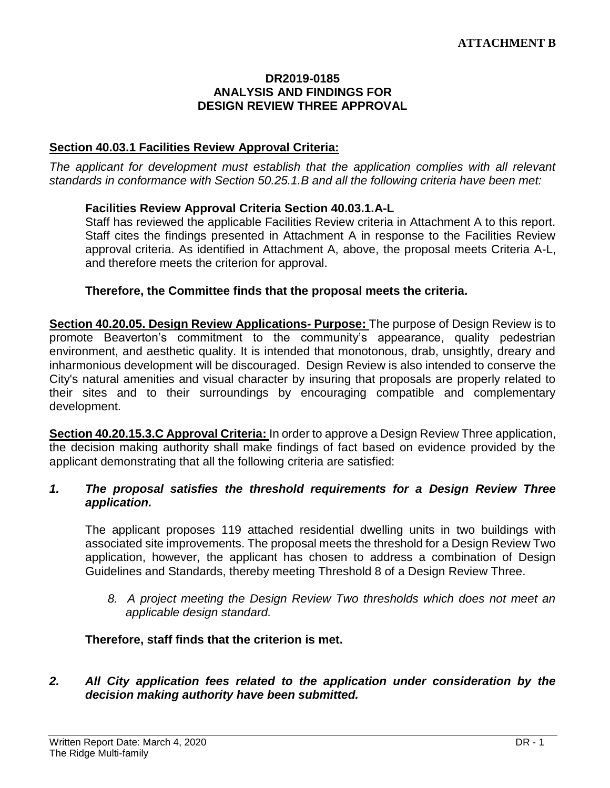#### **DR2019-0185 ANALYSIS AND FINDINGS FOR DESIGN REVIEW THREE APPROVAL**

#### **Section 40.03.1 Facilities Review Approval Criteria:**

*The applicant for development must establish that the application complies with all relevant standards in conformance with Section 50.25.1.B and all the following criteria have been met:* 

#### **Facilities Review Approval Criteria Section 40.03.1.A-L**

Staff has reviewed the applicable Facilities Review criteria in Attachment A to this report. Staff cites the findings presented in Attachment A in response to the Facilities Review approval criteria. As identified in Attachment A, above, the proposal meets Criteria A-L, and therefore meets the criterion for approval.

#### **Therefore, the Committee finds that the proposal meets the criteria.**

**Section 40.20.05. Design Review Applications- Purpose:** The purpose of Design Review is to promote Beaverton's commitment to the community's appearance, quality pedestrian environment, and aesthetic quality. It is intended that monotonous, drab, unsightly, dreary and inharmonious development will be discouraged. Design Review is also intended to conserve the City's natural amenities and visual character by insuring that proposals are properly related to their sites and to their surroundings by encouraging compatible and complementary development.

**Section 40.20.15.3.C Approval Criteria:** In order to approve a Design Review Three application, the decision making authority shall make findings of fact based on evidence provided by the applicant demonstrating that all the following criteria are satisfied:

#### *1. The proposal satisfies the threshold requirements for a Design Review Three application.*

The applicant proposes 119 attached residential dwelling units in two buildings with associated site improvements. The proposal meets the threshold for a Design Review Two application, however, the applicant has chosen to address a combination of Design Guidelines and Standards, thereby meeting Threshold 8 of a Design Review Three.

*8. A project meeting the Design Review Two thresholds which does not meet an applicable design standard.*

#### **Therefore, staff finds that the criterion is met.**

#### *2. All City application fees related to the application under consideration by the decision making authority have been submitted.*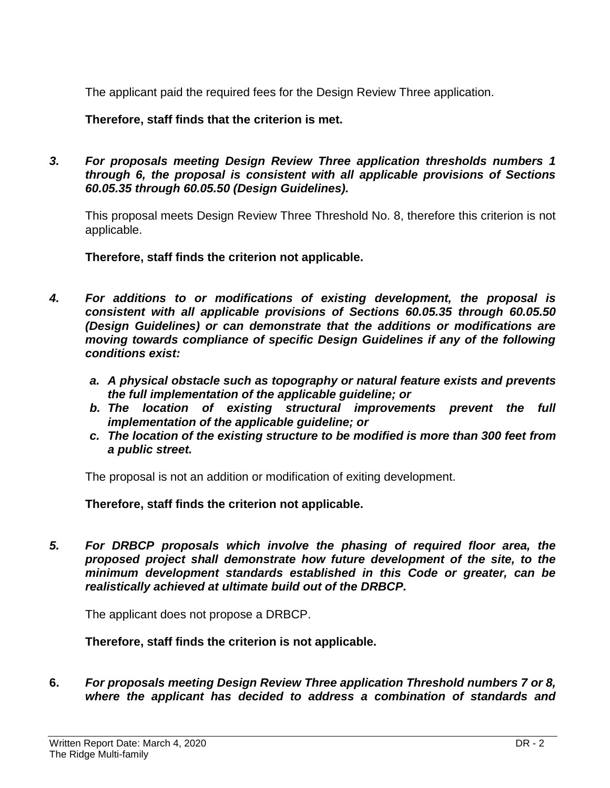The applicant paid the required fees for the Design Review Three application.

**Therefore, staff finds that the criterion is met.**

*3. For proposals meeting Design Review Three application thresholds numbers 1 through 6, the proposal is consistent with all applicable provisions of Sections 60.05.35 through 60.05.50 (Design Guidelines).*

This proposal meets Design Review Three Threshold No. 8, therefore this criterion is not applicable.

**Therefore, staff finds the criterion not applicable.**

- *4. For additions to or modifications of existing development, the proposal is consistent with all applicable provisions of Sections 60.05.35 through 60.05.50 (Design Guidelines) or can demonstrate that the additions or modifications are moving towards compliance of specific Design Guidelines if any of the following conditions exist:*
	- *a. A physical obstacle such as topography or natural feature exists and prevents the full implementation of the applicable guideline; or*
	- *b. The location of existing structural improvements prevent the full implementation of the applicable guideline; or*
	- *c. The location of the existing structure to be modified is more than 300 feet from a public street.*

The proposal is not an addition or modification of exiting development.

**Therefore, staff finds the criterion not applicable.**

*5. For DRBCP proposals which involve the phasing of required floor area, the proposed project shall demonstrate how future development of the site, to the minimum development standards established in this Code or greater, can be realistically achieved at ultimate build out of the DRBCP.*

The applicant does not propose a DRBCP.

**Therefore, staff finds the criterion is not applicable.**

**6.** *For proposals meeting Design Review Three application Threshold numbers 7 or 8, where the applicant has decided to address a combination of standards and*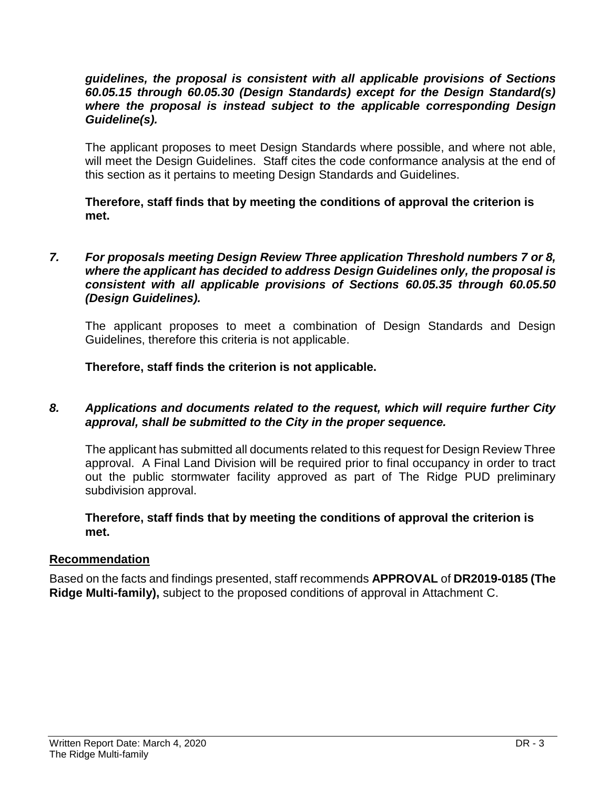#### *guidelines, the proposal is consistent with all applicable provisions of Sections 60.05.15 through 60.05.30 (Design Standards) except for the Design Standard(s) where the proposal is instead subject to the applicable corresponding Design Guideline(s).*

The applicant proposes to meet Design Standards where possible, and where not able, will meet the Design Guidelines. Staff cites the code conformance analysis at the end of this section as it pertains to meeting Design Standards and Guidelines.

**Therefore, staff finds that by meeting the conditions of approval the criterion is met.**

#### *7. For proposals meeting Design Review Three application Threshold numbers 7 or 8, where the applicant has decided to address Design Guidelines only, the proposal is consistent with all applicable provisions of Sections 60.05.35 through 60.05.50 (Design Guidelines).*

The applicant proposes to meet a combination of Design Standards and Design Guidelines, therefore this criteria is not applicable.

**Therefore, staff finds the criterion is not applicable.**

#### *8. Applications and documents related to the request, which will require further City approval, shall be submitted to the City in the proper sequence.*

The applicant has submitted all documents related to this request for Design Review Three approval. A Final Land Division will be required prior to final occupancy in order to tract out the public stormwater facility approved as part of The Ridge PUD preliminary subdivision approval.

#### **Therefore, staff finds that by meeting the conditions of approval the criterion is met.**

#### **Recommendation**

Based on the facts and findings presented, staff recommends **APPROVAL** of **DR2019-0185 (The Ridge Multi-family),** subject to the proposed conditions of approval in Attachment C.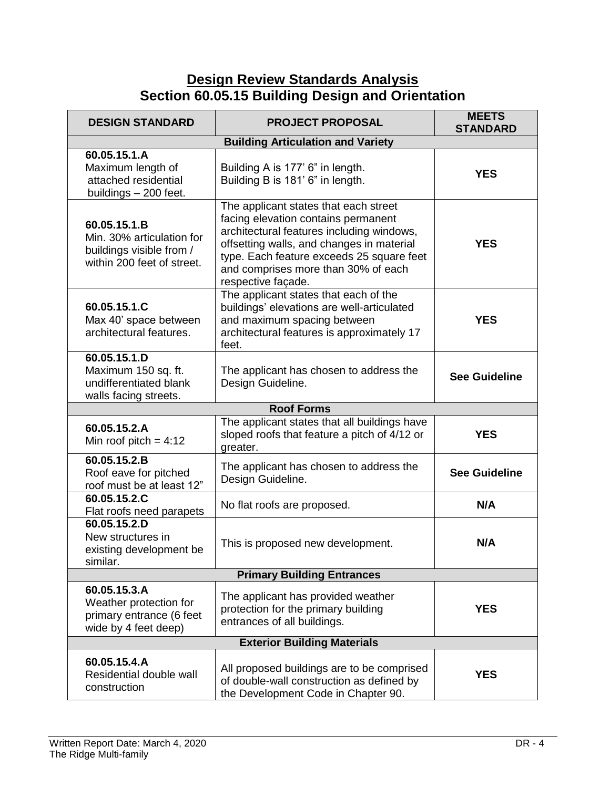# **Design Review Standards Analysis Section 60.05.15 Building Design and Orientation**

| <b>DESIGN STANDARD</b>                                                                              | <b>PROJECT PROPOSAL</b>                                                                                                                                                                                                                                                          | <b>MEETS</b><br><b>STANDARD</b> |  |
|-----------------------------------------------------------------------------------------------------|----------------------------------------------------------------------------------------------------------------------------------------------------------------------------------------------------------------------------------------------------------------------------------|---------------------------------|--|
|                                                                                                     |                                                                                                                                                                                                                                                                                  |                                 |  |
| 60.05.15.1.A<br>Maximum length of<br>attached residential<br>buildings - 200 feet.                  | Building A is 177' 6" in length.<br>Building B is 181' 6" in length.                                                                                                                                                                                                             | <b>YES</b>                      |  |
| 60.05.15.1.B<br>Min. 30% articulation for<br>buildings visible from /<br>within 200 feet of street. | The applicant states that each street<br>facing elevation contains permanent<br>architectural features including windows,<br>offsetting walls, and changes in material<br>type. Each feature exceeds 25 square feet<br>and comprises more than 30% of each<br>respective façade. | <b>YES</b>                      |  |
| 60.05.15.1.C<br>Max 40' space between<br>architectural features.                                    | The applicant states that each of the<br>buildings' elevations are well-articulated<br>and maximum spacing between<br>architectural features is approximately 17<br>feet.                                                                                                        | <b>YES</b>                      |  |
| 60.05.15.1.D<br>Maximum 150 sq. ft.<br>undifferentiated blank<br>walls facing streets.              | The applicant has chosen to address the<br>Design Guideline.                                                                                                                                                                                                                     | <b>See Guideline</b>            |  |
|                                                                                                     | <b>Roof Forms</b>                                                                                                                                                                                                                                                                |                                 |  |
| 60.05.15.2.A<br>Min roof pitch = $4:12$                                                             | The applicant states that all buildings have<br>sloped roofs that feature a pitch of 4/12 or<br>greater.                                                                                                                                                                         | <b>YES</b>                      |  |
| 60.05.15.2.B<br>Roof eave for pitched<br>roof must be at least 12"                                  | The applicant has chosen to address the<br>Design Guideline.                                                                                                                                                                                                                     | <b>See Guideline</b>            |  |
| 60.05.15.2.C<br>Flat roofs need parapets                                                            | No flat roofs are proposed.                                                                                                                                                                                                                                                      | N/A                             |  |
| 60.05.15.2.D<br>New structures in<br>existing development be<br>similar.                            | This is proposed new development.                                                                                                                                                                                                                                                | N/A                             |  |
| <b>Primary Building Entrances</b>                                                                   |                                                                                                                                                                                                                                                                                  |                                 |  |
| 60.05.15.3.A<br>Weather protection for<br>primary entrance (6 feet<br>wide by 4 feet deep)          | The applicant has provided weather<br>protection for the primary building<br>entrances of all buildings.                                                                                                                                                                         | <b>YES</b>                      |  |
| <b>Exterior Building Materials</b>                                                                  |                                                                                                                                                                                                                                                                                  |                                 |  |
| 60.05.15.4.A<br>Residential double wall<br>construction                                             | All proposed buildings are to be comprised<br>of double-wall construction as defined by<br>the Development Code in Chapter 90.                                                                                                                                                   | <b>YES</b>                      |  |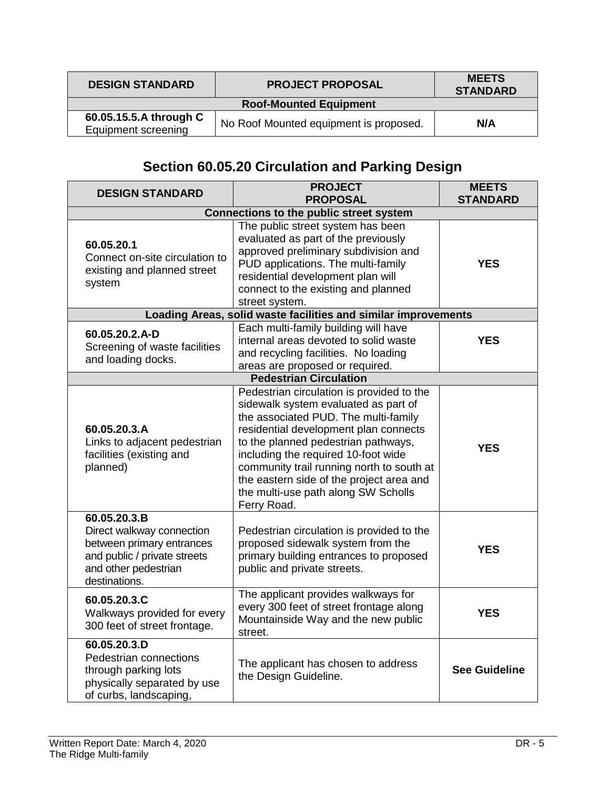| <b>DESIGN STANDARD</b><br><b>PROJECT PROPOSAL</b>                                       |  | <b>MEETS</b><br><b>STANDARD</b> |
|-----------------------------------------------------------------------------------------|--|---------------------------------|
| <b>Roof-Mounted Equipment</b>                                                           |  |                                 |
| 60.05.15.5.A through C<br>No Roof Mounted equipment is proposed.<br>Equipment screening |  | N/A                             |

# **Section 60.05.20 Circulation and Parking Design**

| <b>DESIGN STANDARD</b>                                                                                                                          | <b>PROJECT</b><br><b>PROPOSAL</b>                                                                                                                                                                                                                                                                                                                                                               | <b>MEETS</b><br><b>STANDARD</b> |  |  |
|-------------------------------------------------------------------------------------------------------------------------------------------------|-------------------------------------------------------------------------------------------------------------------------------------------------------------------------------------------------------------------------------------------------------------------------------------------------------------------------------------------------------------------------------------------------|---------------------------------|--|--|
| <b>Connections to the public street system</b>                                                                                                  |                                                                                                                                                                                                                                                                                                                                                                                                 |                                 |  |  |
| 60.05.20.1<br>Connect on-site circulation to<br>existing and planned street<br>system                                                           | The public street system has been<br>evaluated as part of the previously<br>approved preliminary subdivision and<br>PUD applications. The multi-family<br>residential development plan will<br>connect to the existing and planned<br>street system.                                                                                                                                            | <b>YES</b>                      |  |  |
|                                                                                                                                                 | Loading Areas, solid waste facilities and similar improvements                                                                                                                                                                                                                                                                                                                                  |                                 |  |  |
| 60.05.20.2.A-D<br>Screening of waste facilities<br>and loading docks.                                                                           | Each multi-family building will have<br>internal areas devoted to solid waste<br>and recycling facilities. No loading<br>areas are proposed or required.                                                                                                                                                                                                                                        | <b>YES</b>                      |  |  |
|                                                                                                                                                 | <b>Pedestrian Circulation</b>                                                                                                                                                                                                                                                                                                                                                                   |                                 |  |  |
| 60.05.20.3.A<br>Links to adjacent pedestrian<br>facilities (existing and<br>planned)                                                            | Pedestrian circulation is provided to the<br>sidewalk system evaluated as part of<br>the associated PUD. The multi-family<br>residential development plan connects<br>to the planned pedestrian pathways,<br>including the required 10-foot wide<br>community trail running north to south at<br>the eastern side of the project area and<br>the multi-use path along SW Scholls<br>Ferry Road. | <b>YES</b>                      |  |  |
| 60.05.20.3.B<br>Direct walkway connection<br>between primary entrances<br>and public / private streets<br>and other pedestrian<br>destinations. | Pedestrian circulation is provided to the<br>proposed sidewalk system from the<br>primary building entrances to proposed<br>public and private streets.                                                                                                                                                                                                                                         | <b>YES</b>                      |  |  |
| 60.05.20.3.C<br>Walkways provided for every<br>300 feet of street frontage.                                                                     | The applicant provides walkways for<br>every 300 feet of street frontage along<br>Mountainside Way and the new public<br>street.                                                                                                                                                                                                                                                                | <b>YES</b>                      |  |  |
| 60.05.20.3.D<br>Pedestrian connections<br>through parking lots<br>physically separated by use<br>of curbs, landscaping,                         | The applicant has chosen to address<br>the Design Guideline.                                                                                                                                                                                                                                                                                                                                    | <b>See Guideline</b>            |  |  |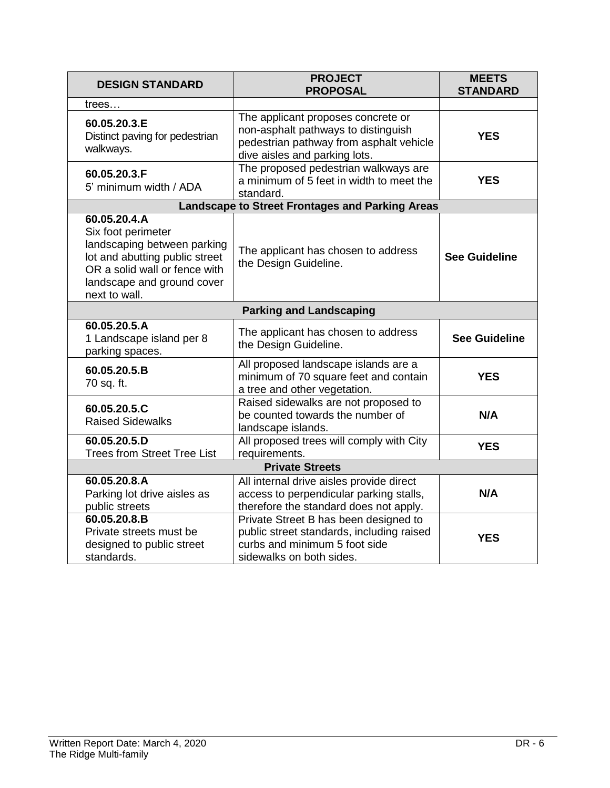| <b>DESIGN STANDARD</b>                                                                                                                                                              | <b>PROJECT</b><br><b>PROPOSAL</b>                                                                                                                     | <b>MEETS</b><br><b>STANDARD</b> |  |
|-------------------------------------------------------------------------------------------------------------------------------------------------------------------------------------|-------------------------------------------------------------------------------------------------------------------------------------------------------|---------------------------------|--|
| trees                                                                                                                                                                               |                                                                                                                                                       |                                 |  |
| 60.05.20.3.E<br>Distinct paving for pedestrian<br>walkways.                                                                                                                         | The applicant proposes concrete or<br>non-asphalt pathways to distinguish<br>pedestrian pathway from asphalt vehicle<br>dive aisles and parking lots. | <b>YES</b>                      |  |
| 60.05.20.3.F<br>5' minimum width / ADA                                                                                                                                              | The proposed pedestrian walkways are<br>a minimum of 5 feet in width to meet the<br>standard.                                                         | <b>YES</b>                      |  |
|                                                                                                                                                                                     | <b>Landscape to Street Frontages and Parking Areas</b>                                                                                                |                                 |  |
| 60.05.20.4.A<br>Six foot perimeter<br>landscaping between parking<br>lot and abutting public street<br>OR a solid wall or fence with<br>landscape and ground cover<br>next to wall. | The applicant has chosen to address<br>the Design Guideline.                                                                                          | <b>See Guideline</b>            |  |
|                                                                                                                                                                                     | <b>Parking and Landscaping</b>                                                                                                                        |                                 |  |
| 60.05.20.5.A<br>1 Landscape island per 8<br>parking spaces.                                                                                                                         | The applicant has chosen to address<br>the Design Guideline.                                                                                          | <b>See Guideline</b>            |  |
| 60.05.20.5.B<br>70 sq. ft.                                                                                                                                                          | All proposed landscape islands are a<br>minimum of 70 square feet and contain<br>a tree and other vegetation.                                         | <b>YES</b>                      |  |
| 60.05.20.5.C<br><b>Raised Sidewalks</b>                                                                                                                                             | Raised sidewalks are not proposed to<br>be counted towards the number of<br>landscape islands.                                                        | N/A                             |  |
| 60.05.20.5.D<br><b>Trees from Street Tree List</b>                                                                                                                                  | All proposed trees will comply with City<br>requirements.                                                                                             | <b>YES</b>                      |  |
| <b>Private Streets</b>                                                                                                                                                              |                                                                                                                                                       |                                 |  |
| 60.05.20.8.A<br>Parking lot drive aisles as<br>public streets                                                                                                                       | All internal drive aisles provide direct<br>access to perpendicular parking stalls,<br>therefore the standard does not apply.                         | N/A                             |  |
| 60.05.20.8.B<br>Private streets must be<br>designed to public street<br>standards.                                                                                                  | Private Street B has been designed to<br>public street standards, including raised<br>curbs and minimum 5 foot side<br>sidewalks on both sides.       | <b>YES</b>                      |  |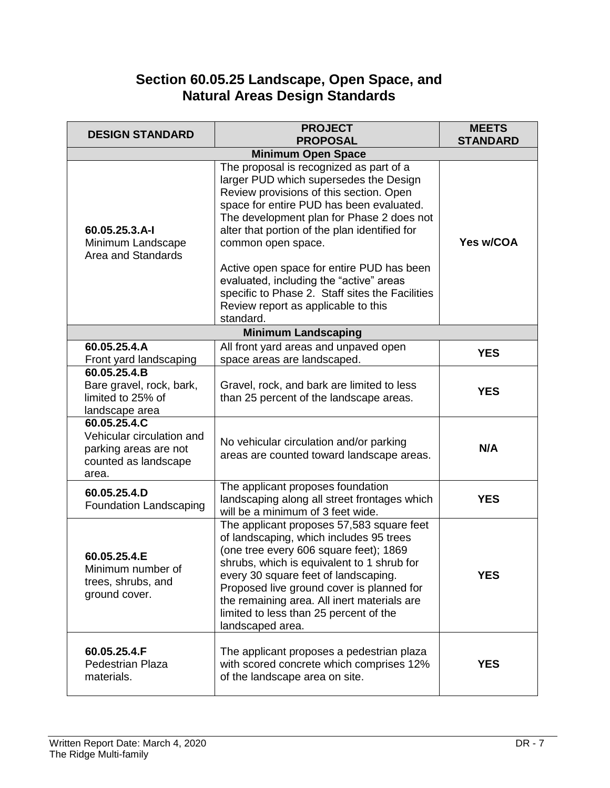# **Section 60.05.25 Landscape, Open Space, and Natural Areas Design Standards**

| <b>DESIGN STANDARD</b>                                                                              | <b>PROJECT</b><br><b>PROPOSAL</b>                                                                                                                                                                                                                                                                                                                                                                                                                                                           | <b>MEETS</b><br><b>STANDARD</b> |
|-----------------------------------------------------------------------------------------------------|---------------------------------------------------------------------------------------------------------------------------------------------------------------------------------------------------------------------------------------------------------------------------------------------------------------------------------------------------------------------------------------------------------------------------------------------------------------------------------------------|---------------------------------|
|                                                                                                     | <b>Minimum Open Space</b>                                                                                                                                                                                                                                                                                                                                                                                                                                                                   |                                 |
| 60.05.25.3.A-I<br>Minimum Landscape<br>Area and Standards                                           | The proposal is recognized as part of a<br>larger PUD which supersedes the Design<br>Review provisions of this section. Open<br>space for entire PUD has been evaluated.<br>The development plan for Phase 2 does not<br>alter that portion of the plan identified for<br>common open space.<br>Active open space for entire PUD has been<br>evaluated, including the "active" areas<br>specific to Phase 2. Staff sites the Facilities<br>Review report as applicable to this<br>standard. | Yes w/COA                       |
|                                                                                                     | <b>Minimum Landscaping</b>                                                                                                                                                                                                                                                                                                                                                                                                                                                                  |                                 |
| 60.05.25.4.A<br>Front yard landscaping                                                              | All front yard areas and unpaved open<br>space areas are landscaped.                                                                                                                                                                                                                                                                                                                                                                                                                        | <b>YES</b>                      |
| 60.05.25.4.B<br>Bare gravel, rock, bark,<br>limited to 25% of<br>landscape area                     | Gravel, rock, and bark are limited to less<br>than 25 percent of the landscape areas.                                                                                                                                                                                                                                                                                                                                                                                                       | <b>YES</b>                      |
| 60.05.25.4.C<br>Vehicular circulation and<br>parking areas are not<br>counted as landscape<br>area. | No vehicular circulation and/or parking<br>areas are counted toward landscape areas.                                                                                                                                                                                                                                                                                                                                                                                                        | N/A                             |
| 60.05.25.4.D<br>Foundation Landscaping                                                              | The applicant proposes foundation<br>landscaping along all street frontages which<br>will be a minimum of 3 feet wide.                                                                                                                                                                                                                                                                                                                                                                      | <b>YES</b>                      |
| 60.05.25.4.E<br>Minimum number of<br>trees, shrubs, and<br>ground cover.                            | The applicant proposes 57,583 square feet<br>of landscaping, which includes 95 trees<br>(one tree every 606 square feet); 1869<br>shrubs, which is equivalent to 1 shrub for<br>every 30 square feet of landscaping.<br>Proposed live ground cover is planned for<br>the remaining area. All inert materials are<br>limited to less than 25 percent of the<br>landscaped area.                                                                                                              | <b>YES</b>                      |
| 60.05.25.4.F<br><b>Pedestrian Plaza</b><br>materials.                                               | The applicant proposes a pedestrian plaza<br>with scored concrete which comprises 12%<br>of the landscape area on site.                                                                                                                                                                                                                                                                                                                                                                     | <b>YES</b>                      |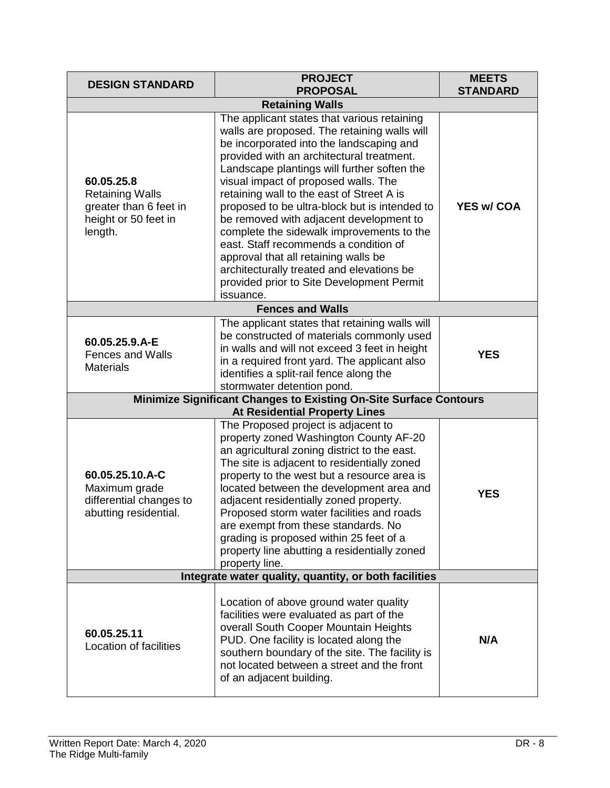| <b>DESIGN STANDARD</b>                                                                                           | <b>PROJECT</b><br><b>PROPOSAL</b>                                                                                                                                                                                                                                                                                                                                                                                                                                                                                                                                                                                                                         | <b>MEETS</b><br><b>STANDARD</b> |  |
|------------------------------------------------------------------------------------------------------------------|-----------------------------------------------------------------------------------------------------------------------------------------------------------------------------------------------------------------------------------------------------------------------------------------------------------------------------------------------------------------------------------------------------------------------------------------------------------------------------------------------------------------------------------------------------------------------------------------------------------------------------------------------------------|---------------------------------|--|
|                                                                                                                  | <b>Retaining Walls</b>                                                                                                                                                                                                                                                                                                                                                                                                                                                                                                                                                                                                                                    |                                 |  |
| 60.05.25.8<br><b>Retaining Walls</b><br>greater than 6 feet in<br>height or 50 feet in<br>length.                | The applicant states that various retaining<br>walls are proposed. The retaining walls will<br>be incorporated into the landscaping and<br>provided with an architectural treatment.<br>Landscape plantings will further soften the<br>visual impact of proposed walls. The<br>retaining wall to the east of Street A is<br>proposed to be ultra-block but is intended to<br>be removed with adjacent development to<br>complete the sidewalk improvements to the<br>east. Staff recommends a condition of<br>approval that all retaining walls be<br>architecturally treated and elevations be<br>provided prior to Site Development Permit<br>issuance. | <b>YES w/ COA</b>               |  |
|                                                                                                                  | <b>Fences and Walls</b>                                                                                                                                                                                                                                                                                                                                                                                                                                                                                                                                                                                                                                   |                                 |  |
| 60.05.25.9.A-E<br><b>Fences and Walls</b><br><b>Materials</b>                                                    | The applicant states that retaining walls will<br>be constructed of materials commonly used<br>in walls and will not exceed 3 feet in height<br>in a required front yard. The applicant also<br>identifies a split-rail fence along the<br>stormwater detention pond.                                                                                                                                                                                                                                                                                                                                                                                     | <b>YES</b>                      |  |
| <b>Minimize Significant Changes to Existing On-Site Surface Contours</b><br><b>At Residential Property Lines</b> |                                                                                                                                                                                                                                                                                                                                                                                                                                                                                                                                                                                                                                                           |                                 |  |
| 60.05.25.10.A-C<br>Maximum grade<br>differential changes to<br>abutting residential.                             | The Proposed project is adjacent to<br>property zoned Washington County AF-20<br>an agricultural zoning district to the east.<br>The site is adjacent to residentially zoned<br>property to the west but a resource area is<br>located between the development area and<br>adjacent residentially zoned property.<br>Proposed storm water facilities and roads<br>are exempt from these standards. No<br>grading is proposed within 25 feet of a<br>property line abutting a residentially zoned<br>property line.                                                                                                                                        | <b>YES</b>                      |  |
| Integrate water quality, quantity, or both facilities                                                            |                                                                                                                                                                                                                                                                                                                                                                                                                                                                                                                                                                                                                                                           |                                 |  |
| 60.05.25.11<br>Location of facilities                                                                            | Location of above ground water quality<br>facilities were evaluated as part of the<br>overall South Cooper Mountain Heights<br>PUD. One facility is located along the<br>southern boundary of the site. The facility is<br>not located between a street and the front<br>of an adjacent building.                                                                                                                                                                                                                                                                                                                                                         | N/A                             |  |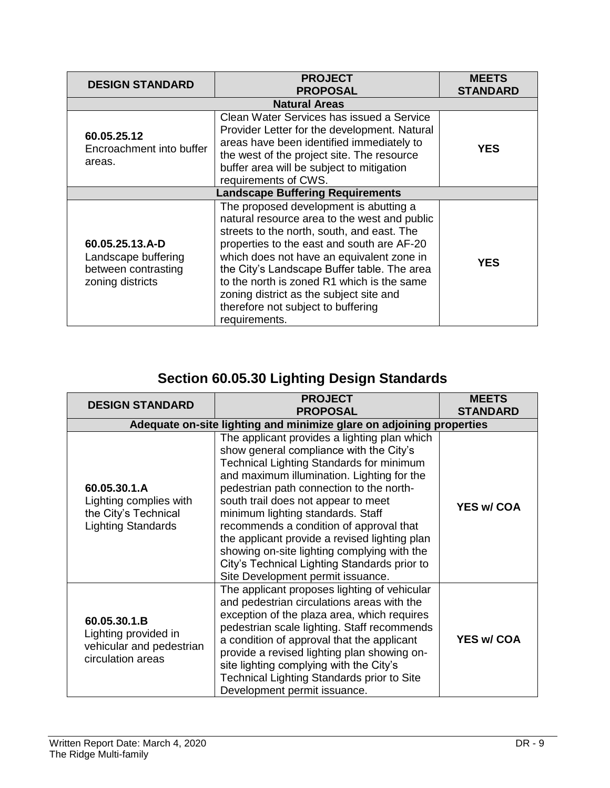| <b>DESIGN STANDARD</b>                                                            | <b>PROJECT</b><br><b>PROPOSAL</b>                                                                                                                                                                                                                                                                                                                                                                                              | <b>MEETS</b><br><b>STANDARD</b> |  |  |
|-----------------------------------------------------------------------------------|--------------------------------------------------------------------------------------------------------------------------------------------------------------------------------------------------------------------------------------------------------------------------------------------------------------------------------------------------------------------------------------------------------------------------------|---------------------------------|--|--|
| <b>Natural Areas</b>                                                              |                                                                                                                                                                                                                                                                                                                                                                                                                                |                                 |  |  |
| 60.05.25.12<br>Encroachment into buffer<br>areas.                                 | Clean Water Services has issued a Service<br>Provider Letter for the development. Natural<br>areas have been identified immediately to<br>the west of the project site. The resource<br>buffer area will be subject to mitigation<br>requirements of CWS.                                                                                                                                                                      | <b>YES</b>                      |  |  |
| <b>Landscape Buffering Requirements</b>                                           |                                                                                                                                                                                                                                                                                                                                                                                                                                |                                 |  |  |
| 60.05.25.13.A-D<br>Landscape buffering<br>between contrasting<br>zoning districts | The proposed development is abutting a<br>natural resource area to the west and public<br>streets to the north, south, and east. The<br>properties to the east and south are AF-20<br>which does not have an equivalent zone in<br>the City's Landscape Buffer table. The area<br>to the north is zoned R1 which is the same<br>zoning district as the subject site and<br>therefore not subject to buffering<br>requirements. | <b>YES</b>                      |  |  |

# **Section 60.05.30 Lighting Design Standards**

| <b>DESIGN STANDARD</b>                                                                      | <b>PROJECT</b><br><b>PROPOSAL</b>                                                                                                                                                                                                                                                                                                                                                                                                                                                                                                         | <b>MEETS</b><br><b>STANDARD</b> |  |  |
|---------------------------------------------------------------------------------------------|-------------------------------------------------------------------------------------------------------------------------------------------------------------------------------------------------------------------------------------------------------------------------------------------------------------------------------------------------------------------------------------------------------------------------------------------------------------------------------------------------------------------------------------------|---------------------------------|--|--|
| Adequate on-site lighting and minimize glare on adjoining properties                        |                                                                                                                                                                                                                                                                                                                                                                                                                                                                                                                                           |                                 |  |  |
| 60.05.30.1.A<br>Lighting complies with<br>the City's Technical<br><b>Lighting Standards</b> | The applicant provides a lighting plan which<br>show general compliance with the City's<br>Technical Lighting Standards for minimum<br>and maximum illumination. Lighting for the<br>pedestrian path connection to the north-<br>south trail does not appear to meet<br>minimum lighting standards. Staff<br>recommends a condition of approval that<br>the applicant provide a revised lighting plan<br>showing on-site lighting complying with the<br>City's Technical Lighting Standards prior to<br>Site Development permit issuance. | <b>YES w/ COA</b>               |  |  |
| 60.05.30.1.B<br>Lighting provided in<br>vehicular and pedestrian<br>circulation areas       | The applicant proposes lighting of vehicular<br>and pedestrian circulations areas with the<br>exception of the plaza area, which requires<br>pedestrian scale lighting. Staff recommends<br>a condition of approval that the applicant<br>provide a revised lighting plan showing on-<br>site lighting complying with the City's<br>Technical Lighting Standards prior to Site<br>Development permit issuance.                                                                                                                            | <b>YES w/ COA</b>               |  |  |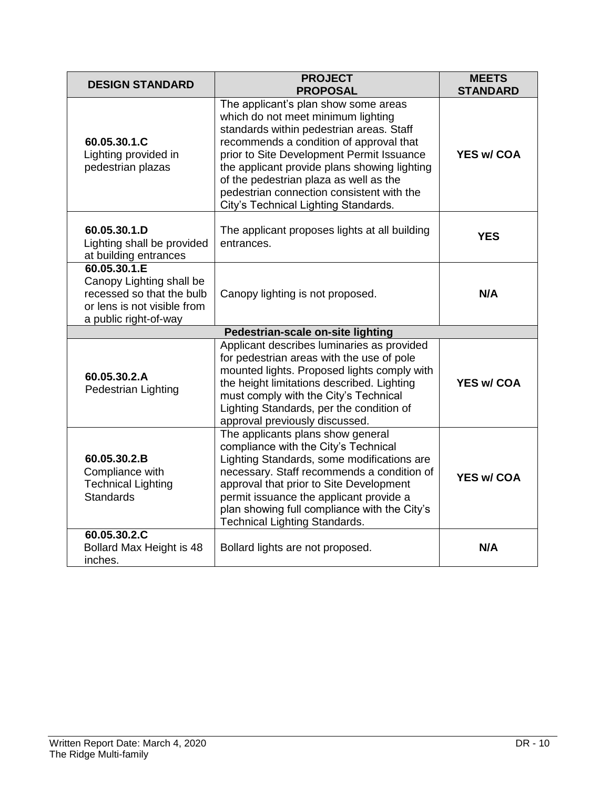| <b>DESIGN STANDARD</b>                                                                                                        | <b>PROJECT</b><br><b>PROPOSAL</b>                                                                                                                                                                                                                                                                                                                                                             | <b>MEETS</b><br><b>STANDARD</b> |  |  |
|-------------------------------------------------------------------------------------------------------------------------------|-----------------------------------------------------------------------------------------------------------------------------------------------------------------------------------------------------------------------------------------------------------------------------------------------------------------------------------------------------------------------------------------------|---------------------------------|--|--|
| 60.05.30.1.C<br>Lighting provided in<br>pedestrian plazas                                                                     | The applicant's plan show some areas<br>which do not meet minimum lighting<br>standards within pedestrian areas. Staff<br>recommends a condition of approval that<br>prior to Site Development Permit Issuance<br>the applicant provide plans showing lighting<br>of the pedestrian plaza as well as the<br>pedestrian connection consistent with the<br>City's Technical Lighting Standards. | <b>YES w/ COA</b>               |  |  |
| 60.05.30.1.D<br>Lighting shall be provided<br>at building entrances                                                           | The applicant proposes lights at all building<br>entrances.                                                                                                                                                                                                                                                                                                                                   | <b>YES</b>                      |  |  |
| 60.05.30.1.E<br>Canopy Lighting shall be<br>recessed so that the bulb<br>or lens is not visible from<br>a public right-of-way | Canopy lighting is not proposed.                                                                                                                                                                                                                                                                                                                                                              | N/A                             |  |  |
| Pedestrian-scale on-site lighting                                                                                             |                                                                                                                                                                                                                                                                                                                                                                                               |                                 |  |  |
| 60.05.30.2.A<br>Pedestrian Lighting                                                                                           | Applicant describes luminaries as provided<br>for pedestrian areas with the use of pole<br>mounted lights. Proposed lights comply with<br>the height limitations described. Lighting<br>must comply with the City's Technical<br>Lighting Standards, per the condition of<br>approval previously discussed.                                                                                   | <b>YES w/ COA</b>               |  |  |
| 60.05.30.2.B<br>Compliance with<br><b>Technical Lighting</b><br><b>Standards</b>                                              | The applicants plans show general<br>compliance with the City's Technical<br>Lighting Standards, some modifications are<br>necessary. Staff recommends a condition of<br>approval that prior to Site Development<br>permit issuance the applicant provide a<br>plan showing full compliance with the City's<br><b>Technical Lighting Standards.</b>                                           | <b>YES w/ COA</b>               |  |  |
| 60.05.30.2.C<br>Bollard Max Height is 48<br>inches.                                                                           | Bollard lights are not proposed.                                                                                                                                                                                                                                                                                                                                                              | N/A                             |  |  |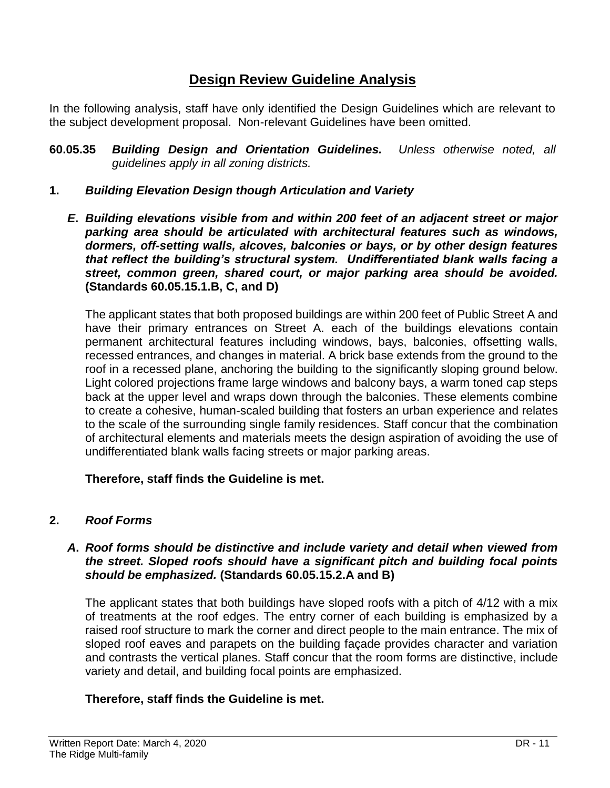## **Design Review Guideline Analysis**

In the following analysis, staff have only identified the Design Guidelines which are relevant to the subject development proposal. Non-relevant Guidelines have been omitted.

- **60.05.35** *Building Design and Orientation Guidelines. Unless otherwise noted, all guidelines apply in all zoning districts.*
- **1.** *Building Elevation Design though Articulation and Variety*
	- *E***.** *Building elevations visible from and within 200 feet of an adjacent street or major parking area should be articulated with architectural features such as windows, dormers, off-setting walls, alcoves, balconies or bays, or by other design features that reflect the building's structural system. Undifferentiated blank walls facing a street, common green, shared court, or major parking area should be avoided.*  **(Standards 60.05.15.1.B, C, and D)**

The applicant states that both proposed buildings are within 200 feet of Public Street A and have their primary entrances on Street A. each of the buildings elevations contain permanent architectural features including windows, bays, balconies, offsetting walls, recessed entrances, and changes in material. A brick base extends from the ground to the roof in a recessed plane, anchoring the building to the significantly sloping ground below. Light colored projections frame large windows and balcony bays, a warm toned cap steps back at the upper level and wraps down through the balconies. These elements combine to create a cohesive, human-scaled building that fosters an urban experience and relates to the scale of the surrounding single family residences. Staff concur that the combination of architectural elements and materials meets the design aspiration of avoiding the use of undifferentiated blank walls facing streets or major parking areas.

#### **Therefore, staff finds the Guideline is met.**

#### **2.** *Roof Forms*

#### *A***.** *Roof forms should be distinctive and include variety and detail when viewed from the street. Sloped roofs should have a significant pitch and building focal points should be emphasized.* **(Standards 60.05.15.2.A and B)**

The applicant states that both buildings have sloped roofs with a pitch of 4/12 with a mix of treatments at the roof edges. The entry corner of each building is emphasized by a raised roof structure to mark the corner and direct people to the main entrance. The mix of sloped roof eaves and parapets on the building façade provides character and variation and contrasts the vertical planes. Staff concur that the room forms are distinctive, include variety and detail, and building focal points are emphasized.

#### **Therefore, staff finds the Guideline is met.**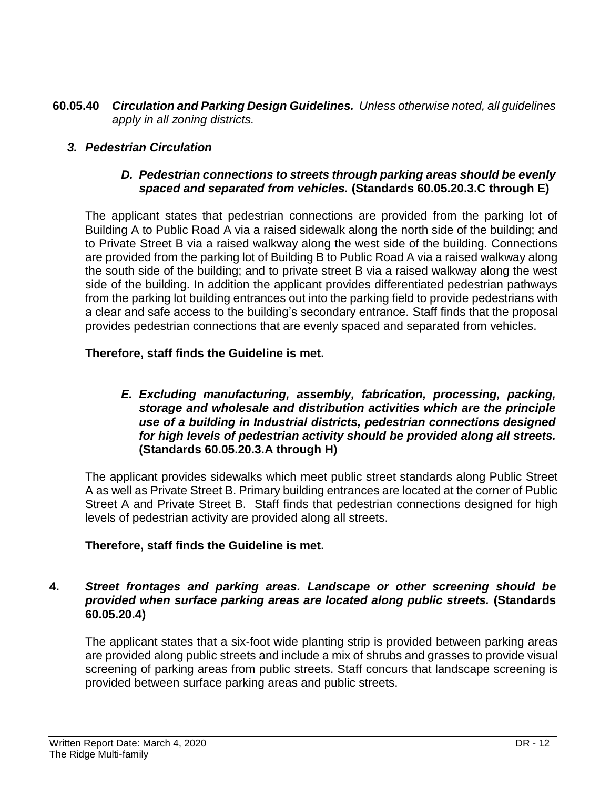**60.05.40** *Circulation and Parking Design Guidelines. Unless otherwise noted, all guidelines apply in all zoning districts.*

### *3. Pedestrian Circulation*

#### *D. Pedestrian connections to streets through parking areas should be evenly spaced and separated from vehicles.* **(Standards 60.05.20.3.C through E)**

The applicant states that pedestrian connections are provided from the parking lot of Building A to Public Road A via a raised sidewalk along the north side of the building; and to Private Street B via a raised walkway along the west side of the building. Connections are provided from the parking lot of Building B to Public Road A via a raised walkway along the south side of the building; and to private street B via a raised walkway along the west side of the building. In addition the applicant provides differentiated pedestrian pathways from the parking lot building entrances out into the parking field to provide pedestrians with a clear and safe access to the building's secondary entrance. Staff finds that the proposal provides pedestrian connections that are evenly spaced and separated from vehicles.

#### **Therefore, staff finds the Guideline is met.**

#### *E. Excluding manufacturing, assembly, fabrication, processing, packing, storage and wholesale and distribution activities which are the principle use of a building in Industrial districts, pedestrian connections designed for high levels of pedestrian activity should be provided along all streets.*  **(Standards 60.05.20.3.A through H)**

The applicant provides sidewalks which meet public street standards along Public Street A as well as Private Street B. Primary building entrances are located at the corner of Public Street A and Private Street B. Staff finds that pedestrian connections designed for high levels of pedestrian activity are provided along all streets.

#### **Therefore, staff finds the Guideline is met.**

#### **4.** *Street frontages and parking areas. Landscape or other screening should be provided when surface parking areas are located along public streets.* **(Standards 60.05.20.4)**

The applicant states that a six-foot wide planting strip is provided between parking areas are provided along public streets and include a mix of shrubs and grasses to provide visual screening of parking areas from public streets. Staff concurs that landscape screening is provided between surface parking areas and public streets.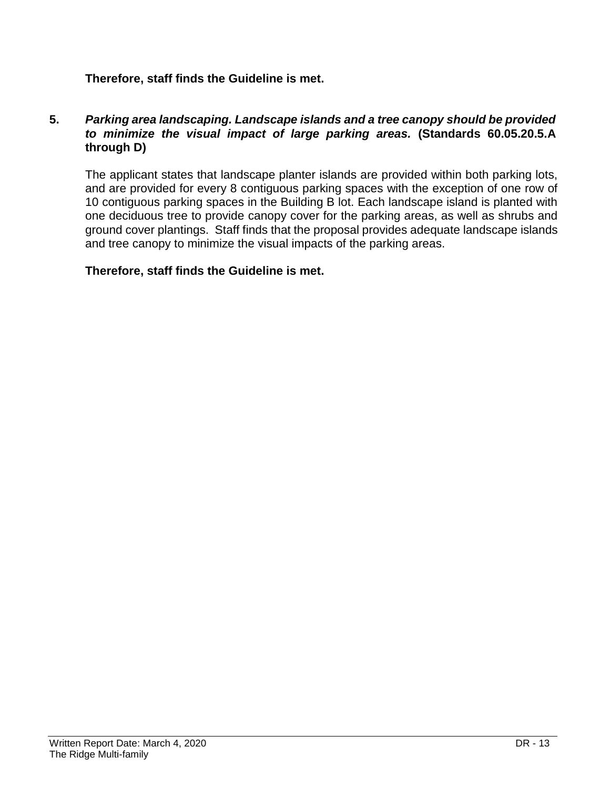#### **Therefore, staff finds the Guideline is met.**

#### **5.** *Parking area landscaping. Landscape islands and a tree canopy should be provided to minimize the visual impact of large parking areas.* **(Standards 60.05.20.5.A through D)**

The applicant states that landscape planter islands are provided within both parking lots, and are provided for every 8 contiguous parking spaces with the exception of one row of 10 contiguous parking spaces in the Building B lot. Each landscape island is planted with one deciduous tree to provide canopy cover for the parking areas, as well as shrubs and ground cover plantings. Staff finds that the proposal provides adequate landscape islands and tree canopy to minimize the visual impacts of the parking areas.

#### **Therefore, staff finds the Guideline is met.**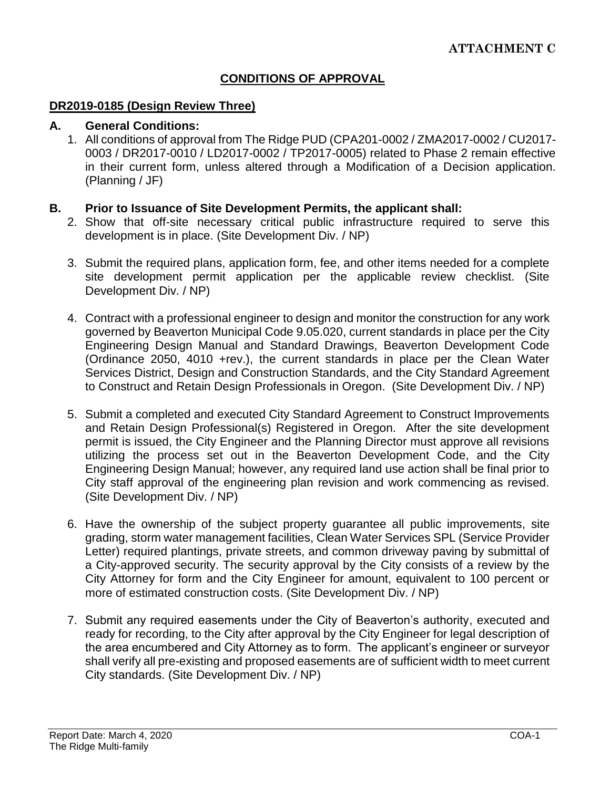## **CONDITIONS OF APPROVAL**

#### **DR2019-0185 (Design Review Three)**

#### **A. General Conditions:**

1. All conditions of approval from The Ridge PUD (CPA201-0002 / ZMA2017-0002 / CU2017- 0003 / DR2017-0010 / LD2017-0002 / TP2017-0005) related to Phase 2 remain effective in their current form, unless altered through a Modification of a Decision application. (Planning / JF)

#### **B. Prior to Issuance of Site Development Permits, the applicant shall:**

- 2. Show that off-site necessary critical public infrastructure required to serve this development is in place. (Site Development Div. / NP)
- 3. Submit the required plans, application form, fee, and other items needed for a complete site development permit application per the applicable review checklist. (Site Development Div. / NP)
- 4. Contract with a professional engineer to design and monitor the construction for any work governed by Beaverton Municipal Code 9.05.020, current standards in place per the City Engineering Design Manual and Standard Drawings, Beaverton Development Code (Ordinance 2050, 4010 +rev.), the current standards in place per the Clean Water Services District, Design and Construction Standards, and the City Standard Agreement to Construct and Retain Design Professionals in Oregon. (Site Development Div. / NP)
- 5. Submit a completed and executed City Standard Agreement to Construct Improvements and Retain Design Professional(s) Registered in Oregon. After the site development permit is issued, the City Engineer and the Planning Director must approve all revisions utilizing the process set out in the Beaverton Development Code, and the City Engineering Design Manual; however, any required land use action shall be final prior to City staff approval of the engineering plan revision and work commencing as revised. (Site Development Div. / NP)
- 6. Have the ownership of the subject property guarantee all public improvements, site grading, storm water management facilities, Clean Water Services SPL (Service Provider Letter) required plantings, private streets, and common driveway paving by submittal of a City-approved security. The security approval by the City consists of a review by the City Attorney for form and the City Engineer for amount, equivalent to 100 percent or more of estimated construction costs. (Site Development Div. / NP)
- 7. Submit any required easements under the City of Beaverton's authority, executed and ready for recording, to the City after approval by the City Engineer for legal description of the area encumbered and City Attorney as to form. The applicant's engineer or surveyor shall verify all pre-existing and proposed easements are of sufficient width to meet current City standards. (Site Development Div. / NP)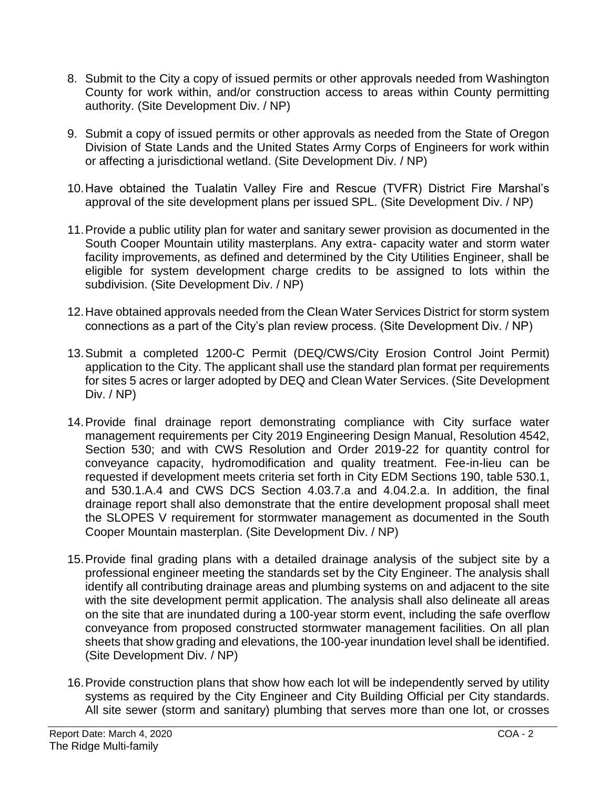- 8. Submit to the City a copy of issued permits or other approvals needed from Washington County for work within, and/or construction access to areas within County permitting authority. (Site Development Div. / NP)
- 9. Submit a copy of issued permits or other approvals as needed from the State of Oregon Division of State Lands and the United States Army Corps of Engineers for work within or affecting a jurisdictional wetland. (Site Development Div. / NP)
- 10.Have obtained the Tualatin Valley Fire and Rescue (TVFR) District Fire Marshal's approval of the site development plans per issued SPL. (Site Development Div. / NP)
- 11.Provide a public utility plan for water and sanitary sewer provision as documented in the South Cooper Mountain utility masterplans. Any extra- capacity water and storm water facility improvements, as defined and determined by the City Utilities Engineer, shall be eligible for system development charge credits to be assigned to lots within the subdivision. (Site Development Div. / NP)
- 12.Have obtained approvals needed from the Clean Water Services District for storm system connections as a part of the City's plan review process. (Site Development Div. / NP)
- 13.Submit a completed 1200-C Permit (DEQ/CWS/City Erosion Control Joint Permit) application to the City. The applicant shall use the standard plan format per requirements for sites 5 acres or larger adopted by DEQ and Clean Water Services. (Site Development Div. / NP)
- 14.Provide final drainage report demonstrating compliance with City surface water management requirements per City 2019 Engineering Design Manual, Resolution 4542, Section 530; and with CWS Resolution and Order 2019-22 for quantity control for conveyance capacity, hydromodification and quality treatment. Fee-in-lieu can be requested if development meets criteria set forth in City EDM Sections 190, table 530.1, and 530.1.A.4 and CWS DCS Section 4.03.7.a and 4.04.2.a. In addition, the final drainage report shall also demonstrate that the entire development proposal shall meet the SLOPES V requirement for stormwater management as documented in the South Cooper Mountain masterplan. (Site Development Div. / NP)
- 15.Provide final grading plans with a detailed drainage analysis of the subject site by a professional engineer meeting the standards set by the City Engineer. The analysis shall identify all contributing drainage areas and plumbing systems on and adjacent to the site with the site development permit application. The analysis shall also delineate all areas on the site that are inundated during a 100-year storm event, including the safe overflow conveyance from proposed constructed stormwater management facilities. On all plan sheets that show grading and elevations, the 100-year inundation level shall be identified. (Site Development Div. / NP)
- 16.Provide construction plans that show how each lot will be independently served by utility systems as required by the City Engineer and City Building Official per City standards. All site sewer (storm and sanitary) plumbing that serves more than one lot, or crosses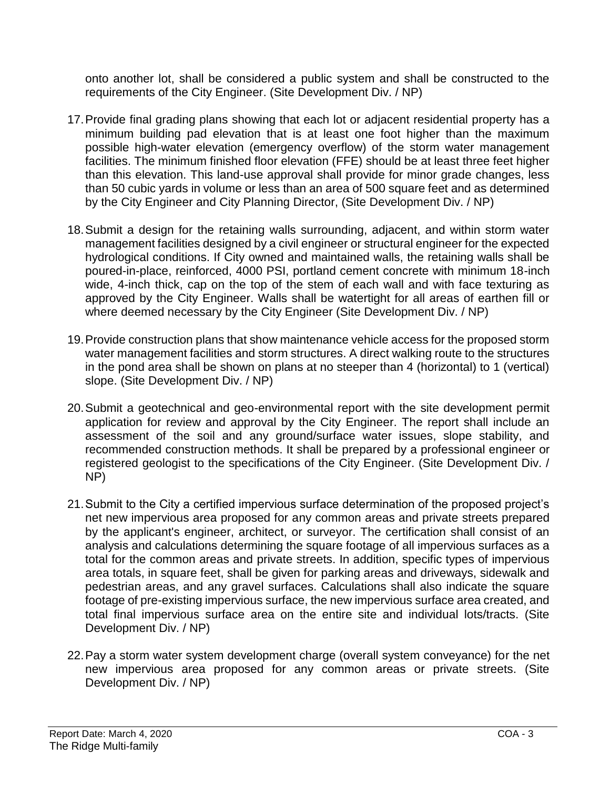onto another lot, shall be considered a public system and shall be constructed to the requirements of the City Engineer. (Site Development Div. / NP)

- 17.Provide final grading plans showing that each lot or adjacent residential property has a minimum building pad elevation that is at least one foot higher than the maximum possible high-water elevation (emergency overflow) of the storm water management facilities. The minimum finished floor elevation (FFE) should be at least three feet higher than this elevation. This land-use approval shall provide for minor grade changes, less than 50 cubic yards in volume or less than an area of 500 square feet and as determined by the City Engineer and City Planning Director, (Site Development Div. / NP)
- 18.Submit a design for the retaining walls surrounding, adjacent, and within storm water management facilities designed by a civil engineer or structural engineer for the expected hydrological conditions. If City owned and maintained walls, the retaining walls shall be poured-in-place, reinforced, 4000 PSI, portland cement concrete with minimum 18-inch wide, 4-inch thick, cap on the top of the stem of each wall and with face texturing as approved by the City Engineer. Walls shall be watertight for all areas of earthen fill or where deemed necessary by the City Engineer (Site Development Div. / NP)
- 19.Provide construction plans that show maintenance vehicle access for the proposed storm water management facilities and storm structures. A direct walking route to the structures in the pond area shall be shown on plans at no steeper than 4 (horizontal) to 1 (vertical) slope. (Site Development Div. / NP)
- 20.Submit a geotechnical and geo-environmental report with the site development permit application for review and approval by the City Engineer. The report shall include an assessment of the soil and any ground/surface water issues, slope stability, and recommended construction methods. It shall be prepared by a professional engineer or registered geologist to the specifications of the City Engineer. (Site Development Div. / NP)
- 21.Submit to the City a certified impervious surface determination of the proposed project's net new impervious area proposed for any common areas and private streets prepared by the applicant's engineer, architect, or surveyor. The certification shall consist of an analysis and calculations determining the square footage of all impervious surfaces as a total for the common areas and private streets. In addition, specific types of impervious area totals, in square feet, shall be given for parking areas and driveways, sidewalk and pedestrian areas, and any gravel surfaces. Calculations shall also indicate the square footage of pre-existing impervious surface, the new impervious surface area created, and total final impervious surface area on the entire site and individual lots/tracts. (Site Development Div. / NP)
- 22.Pay a storm water system development charge (overall system conveyance) for the net new impervious area proposed for any common areas or private streets. (Site Development Div. / NP)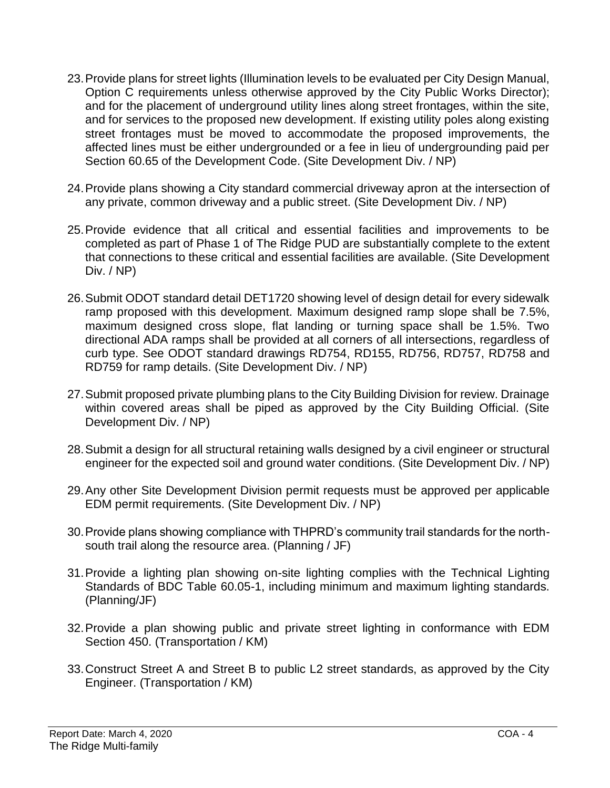- 23.Provide plans for street lights (Illumination levels to be evaluated per City Design Manual, Option C requirements unless otherwise approved by the City Public Works Director); and for the placement of underground utility lines along street frontages, within the site, and for services to the proposed new development. If existing utility poles along existing street frontages must be moved to accommodate the proposed improvements, the affected lines must be either undergrounded or a fee in lieu of undergrounding paid per Section 60.65 of the Development Code. (Site Development Div. / NP)
- 24.Provide plans showing a City standard commercial driveway apron at the intersection of any private, common driveway and a public street. (Site Development Div. / NP)
- 25.Provide evidence that all critical and essential facilities and improvements to be completed as part of Phase 1 of The Ridge PUD are substantially complete to the extent that connections to these critical and essential facilities are available. (Site Development Div. / NP)
- 26.Submit ODOT standard detail DET1720 showing level of design detail for every sidewalk ramp proposed with this development. Maximum designed ramp slope shall be 7.5%, maximum designed cross slope, flat landing or turning space shall be 1.5%. Two directional ADA ramps shall be provided at all corners of all intersections, regardless of curb type. See ODOT standard drawings RD754, RD155, RD756, RD757, RD758 and RD759 for ramp details. (Site Development Div. / NP)
- 27.Submit proposed private plumbing plans to the City Building Division for review. Drainage within covered areas shall be piped as approved by the City Building Official. (Site Development Div. / NP)
- 28.Submit a design for all structural retaining walls designed by a civil engineer or structural engineer for the expected soil and ground water conditions. (Site Development Div. / NP)
- 29.Any other Site Development Division permit requests must be approved per applicable EDM permit requirements. (Site Development Div. / NP)
- 30.Provide plans showing compliance with THPRD's community trail standards for the northsouth trail along the resource area. (Planning / JF)
- 31.Provide a lighting plan showing on-site lighting complies with the Technical Lighting Standards of BDC Table 60.05-1, including minimum and maximum lighting standards. (Planning/JF)
- 32.Provide a plan showing public and private street lighting in conformance with EDM Section 450. (Transportation / KM)
- 33.Construct Street A and Street B to public L2 street standards, as approved by the City Engineer. (Transportation / KM)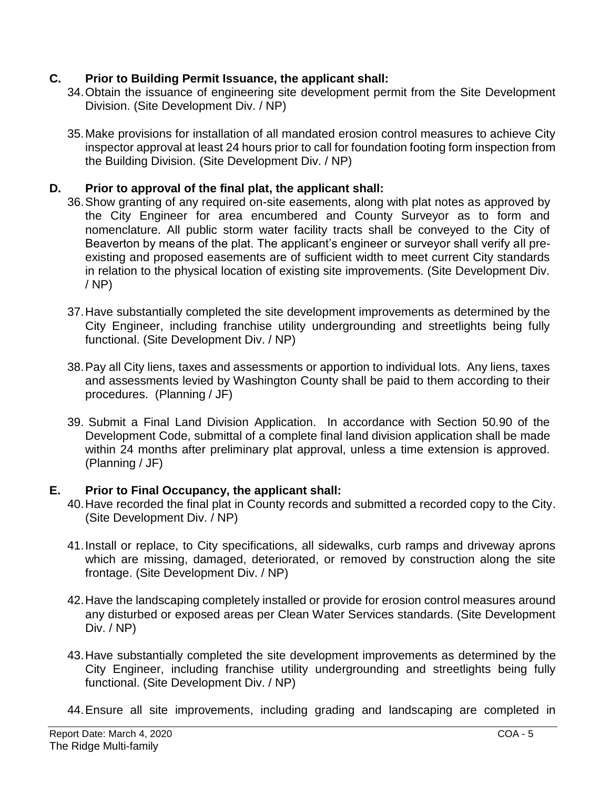## **C. Prior to Building Permit Issuance, the applicant shall:**

- 34.Obtain the issuance of engineering site development permit from the Site Development Division. (Site Development Div. / NP)
- 35.Make provisions for installation of all mandated erosion control measures to achieve City inspector approval at least 24 hours prior to call for foundation footing form inspection from the Building Division. (Site Development Div. / NP)

## **D. Prior to approval of the final plat, the applicant shall:**

- 36.Show granting of any required on-site easements, along with plat notes as approved by the City Engineer for area encumbered and County Surveyor as to form and nomenclature. All public storm water facility tracts shall be conveyed to the City of Beaverton by means of the plat. The applicant's engineer or surveyor shall verify all preexisting and proposed easements are of sufficient width to meet current City standards in relation to the physical location of existing site improvements. (Site Development Div. / NP)
	- 37.Have substantially completed the site development improvements as determined by the City Engineer, including franchise utility undergrounding and streetlights being fully functional. (Site Development Div. / NP)
	- 38.Pay all City liens, taxes and assessments or apportion to individual lots. Any liens, taxes and assessments levied by Washington County shall be paid to them according to their procedures. (Planning / JF)
	- 39. Submit a Final Land Division Application. In accordance with Section 50.90 of the Development Code, submittal of a complete final land division application shall be made within 24 months after preliminary plat approval, unless a time extension is approved. (Planning / JF)

## **E. Prior to Final Occupancy, the applicant shall:**

- 40.Have recorded the final plat in County records and submitted a recorded copy to the City. (Site Development Div. / NP)
- 41.Install or replace, to City specifications, all sidewalks, curb ramps and driveway aprons which are missing, damaged, deteriorated, or removed by construction along the site frontage. (Site Development Div. / NP)
- 42.Have the landscaping completely installed or provide for erosion control measures around any disturbed or exposed areas per Clean Water Services standards. (Site Development Div. / NP)
- 43.Have substantially completed the site development improvements as determined by the City Engineer, including franchise utility undergrounding and streetlights being fully functional. (Site Development Div. / NP)
- 44.Ensure all site improvements, including grading and landscaping are completed in